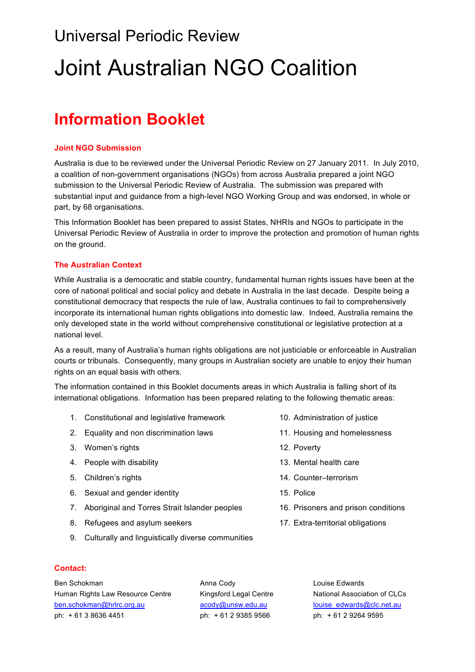## Universal Periodic Review

# Joint Australian NGO Coalition

## **Information Booklet**

### **Joint NGO Submission**

Australia is due to be reviewed under the Universal Periodic Review on 27 January 2011. In July 2010, a coalition of non-government organisations (NGOs) from across Australia prepared a joint NGO submission to the Universal Periodic Review of Australia. The submission was prepared with substantial input and guidance from a high-level NGO Working Group and was endorsed, in whole or part, by 68 organisations.

This Information Booklet has been prepared to assist States, NHRIs and NGOs to participate in the Universal Periodic Review of Australia in order to improve the protection and promotion of human rights on the ground.

## **The Australian Context**

While Australia is a democratic and stable country, fundamental human rights issues have been at the core of national political and social policy and debate in Australia in the last decade. Despite being a constitutional democracy that respects the rule of law, Australia continues to fail to comprehensively incorporate its international human rights obligations into domestic law. Indeed, Australia remains the only developed state in the world without comprehensive constitutional or legislative protection at a national level.

As a result, many of Australia's human rights obligations are not justiciable or enforceable in Australian courts or tribunals. Consequently, many groups in Australian society are unable to enjoy their human rights on an equal basis with others.

The information contained in this Booklet documents areas in which Australia is falling short of its international obligations. Information has been prepared relating to the following thematic areas:

- 1. Constitutional and legislative framework
- 2. Equality and non discrimination laws
- 3. Women's rights
- 4. People with disability
- 5. Children's rights
- 6. Sexual and gender identity
- 7. Aboriginal and Torres Strait Islander peoples
- 8. Refugees and asylum seekers
- 9. Culturally and linguistically diverse communities
- 10. Administration of justice
- 11. Housing and homelessness
- 12. Poverty
- 13. Mental health care
- 14. Counter–terrorism
- 15. Police
- 16. Prisoners and prison conditions
- 17. Extra-territorial obligations

#### **Contact:**

Ben Schokman Human Rights Law Resource Centre ben.schokman@hrlrc.org.au ph: + 61 3 8636 4451

Anna Cody Kingsford Legal Centre acody@unsw.edu.au ph: + 61 2 9385 9566

Louise Edwards National Association of CLCs louise\_edwards@clc.net.au ph: + 61 2 9264 9595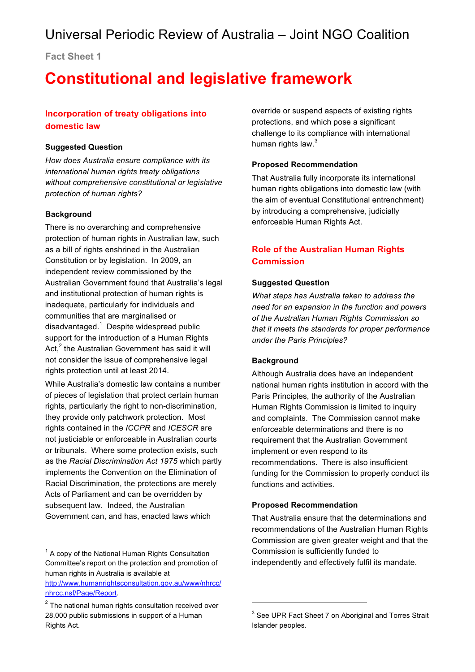**Fact Sheet 1**

## **Constitutional and legislative framework**

## **Incorporation of treaty obligations into domestic law**

#### **Suggested Question**

*How does Australia ensure compliance with its international human rights treaty obligations without comprehensive constitutional or legislative protection of human rights?*

#### **Background**

l

There is no overarching and comprehensive protection of human rights in Australian law, such as a bill of rights enshrined in the Australian Constitution or by legislation. In 2009, an independent review commissioned by the Australian Government found that Australia's legal and institutional protection of human rights is inadequate, particularly for individuals and communities that are marginalised or disadvantaged. $^1$  Despite widespread public support for the introduction of a Human Rights Act, $^2$  the Australian Government has said it will not consider the issue of comprehensive legal rights protection until at least 2014.

While Australia's domestic law contains a number of pieces of legislation that protect certain human rights, particularly the right to non-discrimination, they provide only patchwork protection. Most rights contained in the *ICCPR* and *ICESCR* are not justiciable or enforceable in Australian courts or tribunals. Where some protection exists, such as the *Racial Discrimination Act 1975* which partly implements the Convention on the Elimination of Racial Discrimination, the protections are merely Acts of Parliament and can be overridden by subsequent law. Indeed, the Australian Government can, and has, enacted laws which

override or suspend aspects of existing rights protections, and which pose a significant challenge to its compliance with international human rights law.<sup>3</sup>

#### **Proposed Recommendation**

That Australia fully incorporate its international human rights obligations into domestic law (with the aim of eventual Constitutional entrenchment) by introducing a comprehensive, judicially enforceable Human Rights Act.

## **Role of the Australian Human Rights Commission**

#### **Suggested Question**

*What steps has Australia taken to address the need for an expansion in the function and powers of the Australian Human Rights Commission so that it meets the standards for proper performance under the Paris Principles?*

#### **Background**

 $\overline{a}$ 

Although Australia does have an independent national human rights institution in accord with the Paris Principles, the authority of the Australian Human Rights Commission is limited to inquiry and complaints. The Commission cannot make enforceable determinations and there is no requirement that the Australian Government implement or even respond to its recommendations. There is also insufficient funding for the Commission to properly conduct its functions and activities.

#### **Proposed Recommendation**

That Australia ensure that the determinations and recommendations of the Australian Human Rights Commission are given greater weight and that the Commission is sufficiently funded to independently and effectively fulfil its mandate.

 $<sup>1</sup>$  A copy of the National Human Rights Consultation</sup> Committee's report on the protection and promotion of human rights in Australia is available at http://www.humanrightsconsultation.gov.au/www/nhrcc/

nhrcc.nsf/Page/Report.

 $2$  The national human rights consultation received over 28,000 public submissions in support of a Human Rights Act.

 $3$  See UPR Fact Sheet 7 on Aboriginal and Torres Strait Islander peoples.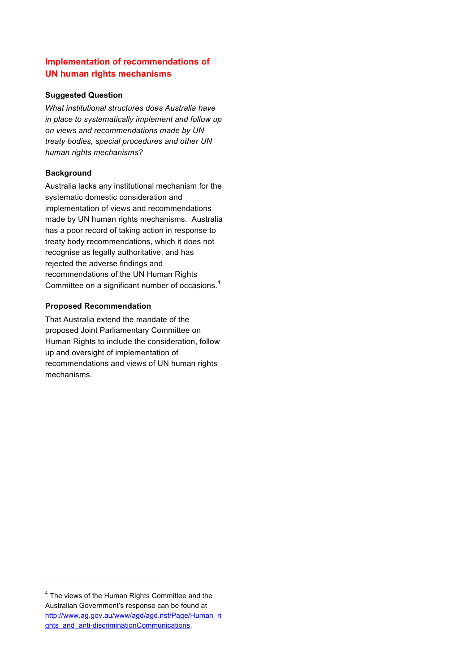## **Implementation of recommendations of UN human rights mechanisms**

### **Suggested Question**

*What institutional structures does Australia have in place to systematically implement and follow up on views and recommendations made by UN treaty bodies, special procedures and other UN human rights mechanisms?*

## **Background**

Australia lacks any institutional mechanism for the systematic domestic consideration and implementation of views and recommendations made by UN human rights mechanisms. Australia has a poor record of taking action in response to treaty body recommendations, which it does not recognise as legally authoritative, and has rejected the adverse findings and recommendations of the UN Human Rights Committee on a significant number of occasions.<sup>4</sup>

## **Proposed Recommendation**

That Australia extend the mandate of the proposed Joint Parliamentary Committee on Human Rights to include the consideration, follow up and oversight of implementation of recommendations and views of UN human rights mechanisms.

l

<sup>&</sup>lt;sup>4</sup> The views of the Human Rights Committee and the Australian Government's response can be found at http://www.ag.gov.au/www/agd/agd.nsf/Page/Human\_ri ghts and anti-discriminationCommunications.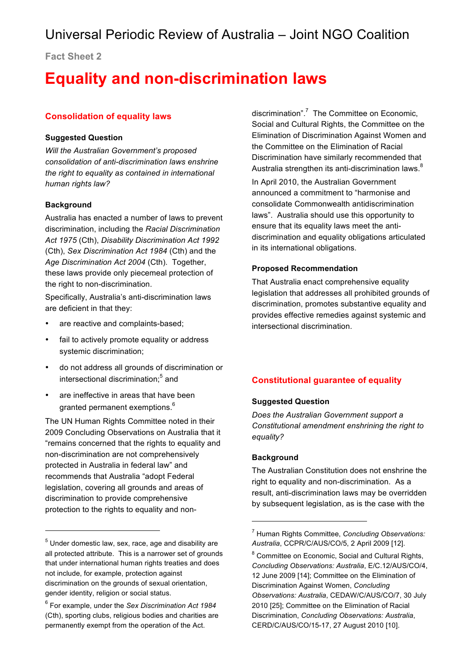**Fact Sheet 2**

## **Equality and non-discrimination laws**

## **Consolidation of equality laws**

#### **Suggested Question**

*Will the Australian Government's proposed consolidation of anti-discrimination laws enshrine the right to equality as contained in international human rights law?*

#### **Background**

l

Australia has enacted a number of laws to prevent discrimination, including the *Racial Discrimination Act 1975* (Cth), *Disability Discrimination Act 1992* (Cth), *Sex Discrimination Act 1984* (Cth) and the *Age Discrimination Act 2004* (Cth). Together, these laws provide only piecemeal protection of the right to non-discrimination.

Specifically, Australia's anti-discrimination laws are deficient in that they:

- are reactive and complaints-based;
- fail to actively promote equality or address systemic discrimination;
- do not address all grounds of discrimination or intersectional discrimination;<sup>5</sup> and
- are ineffective in areas that have been granted permanent exemptions.<sup>6</sup>

The UN Human Rights Committee noted in their 2009 Concluding Observations on Australia that it "remains concerned that the rights to equality and non-discrimination are not comprehensively protected in Australia in federal law" and recommends that Australia "adopt Federal legislation, covering all grounds and areas of discrimination to provide comprehensive protection to the rights to equality and non-

discrimination". <sup>7</sup> The Committee on Economic, Social and Cultural Rights, the Committee on the Elimination of Discrimination Against Women and the Committee on the Elimination of Racial Discrimination have similarly recommended that Australia strengthen its anti-discrimination laws.<sup>8</sup>

In April 2010, the Australian Government announced a commitment to "harmonise and consolidate Commonwealth antidiscrimination laws". Australia should use this opportunity to ensure that its equality laws meet the antidiscrimination and equality obligations articulated in its international obligations.

#### **Proposed Recommendation**

That Australia enact comprehensive equality legislation that addresses all prohibited grounds of discrimination, promotes substantive equality and provides effective remedies against systemic and intersectional discrimination.

## **Constitutional guarantee of equality**

#### **Suggested Question**

*Does the Australian Government support a Constitutional amendment enshrining the right to equality?*

#### **Background**

 $\overline{a}$ 

The Australian Constitution does not enshrine the right to equality and non-discrimination. As a result, anti-discrimination laws may be overridden by subsequent legislation, as is the case with the

 $5$  Under domestic law, sex, race, age and disability are all protected attribute. This is a narrower set of grounds that under international human rights treaties and does not include, for example, protection against discrimination on the grounds of sexual orientation, gender identity, religion or social status.

<sup>6</sup> For example, under the *Sex Discrimination Act 1984*  (Cth), sporting clubs, religious bodies and charities are permanently exempt from the operation of the Act.

<sup>7</sup> Human Rights Committee, *Concluding Observations: Australia*, CCPR/C/AUS/CO/5, 2 April 2009 [12].

<sup>&</sup>lt;sup>8</sup> Committee on Economic, Social and Cultural Rights, *Concluding Observations: Australia*, E/C.12/AUS/CO/4, 12 June 2009 [14]; Committee on the Elimination of Discrimination Against Women, *Concluding Observations: Australia*, CEDAW/C/AUS/CO/7, 30 July 2010 [25]; Committee on the Elimination of Racial Discrimination, *Concluding Observations: Australia*, CERD/C/AUS/CO/15-17, 27 August 2010 [10].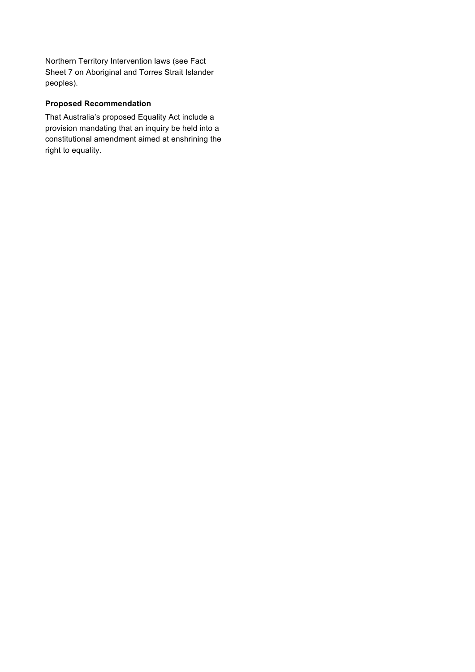Northern Territory Intervention laws (see Fact Sheet 7 on Aboriginal and Torres Strait Islander peoples).

## **Proposed Recommendation**

That Australia's proposed Equality Act include a provision mandating that an inquiry be held into a constitutional amendment aimed at enshrining the right to equality.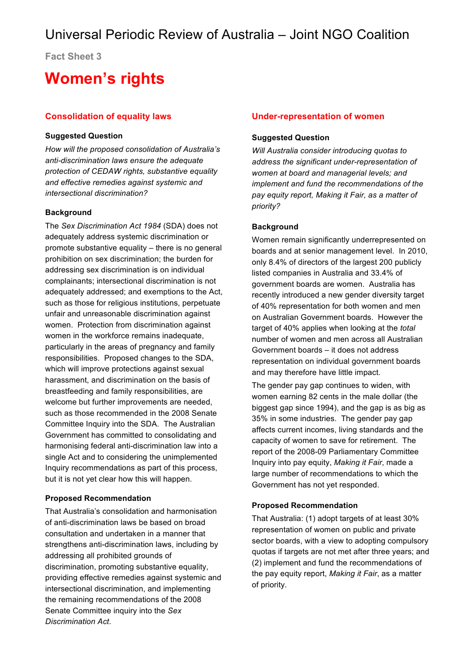**Fact Sheet 3**

## **Women's rights**

## **Consolidation of equality laws**

### **Suggested Question**

*How will the proposed consolidation of Australia's anti-discrimination laws ensure the adequate protection of CEDAW rights, substantive equality and effective remedies against systemic and intersectional discrimination?*

## **Background**

The *Sex Discrimination Act 1984* (SDA) does not adequately address systemic discrimination or promote substantive equality – there is no general prohibition on sex discrimination; the burden for addressing sex discrimination is on individual complainants; intersectional discrimination is not adequately addressed; and exemptions to the Act, such as those for religious institutions, perpetuate unfair and unreasonable discrimination against women. Protection from discrimination against women in the workforce remains inadequate, particularly in the areas of pregnancy and family responsibilities. Proposed changes to the SDA, which will improve protections against sexual harassment, and discrimination on the basis of breastfeeding and family responsibilities, are welcome but further improvements are needed, such as those recommended in the 2008 Senate Committee Inquiry into the SDA. The Australian Government has committed to consolidating and harmonising federal anti-discrimination law into a single Act and to considering the unimplemented Inquiry recommendations as part of this process, but it is not yet clear how this will happen.

## **Proposed Recommendation**

That Australia's consolidation and harmonisation of anti-discrimination laws be based on broad consultation and undertaken in a manner that strengthens anti-discrimination laws, including by addressing all prohibited grounds of discrimination, promoting substantive equality, providing effective remedies against systemic and intersectional discrimination, and implementing the remaining recommendations of the 2008 Senate Committee inquiry into the *Sex Discrimination Act*.

## **Under-representation of women**

## **Suggested Question**

*Will Australia consider introducing quotas to address the significant under-representation of women at board and managerial levels; and implement and fund the recommendations of the pay equity report, Making it Fair, as a matter of priority?*

## **Background**

Women remain significantly underrepresented on boards and at senior management level. In 2010, only 8.4% of directors of the largest 200 publicly listed companies in Australia and 33.4% of government boards are women. Australia has recently introduced a new gender diversity target of 40% representation for both women and men on Australian Government boards. However the target of 40% applies when looking at the *total* number of women and men across all Australian Government boards – it does not address representation on individual government boards and may therefore have little impact.

The gender pay gap continues to widen, with women earning 82 cents in the male dollar (the biggest gap since 1994), and the gap is as big as 35% in some industries. The gender pay gap affects current incomes, living standards and the capacity of women to save for retirement. The report of the 2008-09 Parliamentary Committee Inquiry into pay equity, *Making it Fair*, made a large number of recommendations to which the Government has not yet responded.

## **Proposed Recommendation**

That Australia: (1) adopt targets of at least 30% representation of women on public and private sector boards, with a view to adopting compulsory quotas if targets are not met after three years; and (2) implement and fund the recommendations of the pay equity report, *Making it Fair*, as a matter of priority.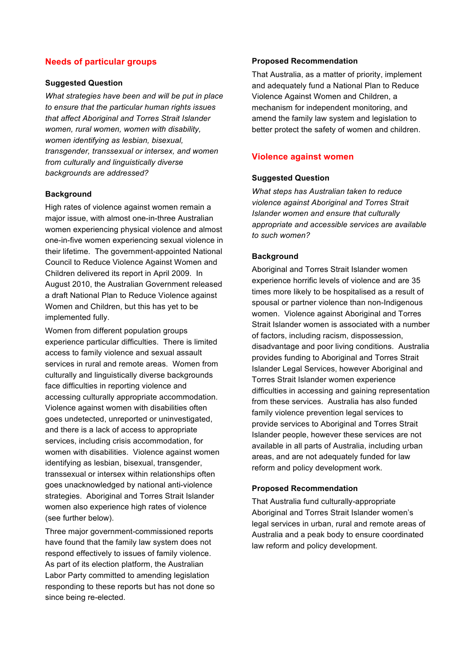### **Needs of particular groups**

#### **Suggested Question**

*What strategies have been and will be put in place to ensure that the particular human rights issues that affect Aboriginal and Torres Strait Islander women, rural women, women with disability, women identifying as lesbian, bisexual, transgender, transsexual or intersex, and women from culturally and linguistically diverse backgrounds are addressed?*

#### **Background**

High rates of violence against women remain a major issue, with almost one-in-three Australian women experiencing physical violence and almost one-in-five women experiencing sexual violence in their lifetime. The government-appointed National Council to Reduce Violence Against Women and Children delivered its report in April 2009. In August 2010, the Australian Government released a draft National Plan to Reduce Violence against Women and Children, but this has yet to be implemented fully.

Women from different population groups experience particular difficulties. There is limited access to family violence and sexual assault services in rural and remote areas. Women from culturally and linguistically diverse backgrounds face difficulties in reporting violence and accessing culturally appropriate accommodation. Violence against women with disabilities often goes undetected, unreported or uninvestigated, and there is a lack of access to appropriate services, including crisis accommodation, for women with disabilities. Violence against women identifying as lesbian, bisexual, transgender, transsexual or intersex within relationships often goes unacknowledged by national anti-violence strategies. Aboriginal and Torres Strait Islander women also experience high rates of violence (see further below).

Three major government-commissioned reports have found that the family law system does not respond effectively to issues of family violence. As part of its election platform, the Australian Labor Party committed to amending legislation responding to these reports but has not done so since being re-elected.

#### **Proposed Recommendation**

That Australia, as a matter of priority, implement and adequately fund a National Plan to Reduce Violence Against Women and Children, a mechanism for independent monitoring, and amend the family law system and legislation to better protect the safety of women and children.

#### **Violence against women**

#### **Suggested Question**

*What steps has Australian taken to reduce violence against Aboriginal and Torres Strait Islander women and ensure that culturally appropriate and accessible services are available to such women?*

#### **Background**

Aboriginal and Torres Strait Islander women experience horrific levels of violence and are 35 times more likely to be hospitalised as a result of spousal or partner violence than non-Indigenous women. Violence against Aboriginal and Torres Strait Islander women is associated with a number of factors, including racism, dispossession, disadvantage and poor living conditions. Australia provides funding to Aboriginal and Torres Strait Islander Legal Services, however Aboriginal and Torres Strait Islander women experience difficulties in accessing and gaining representation from these services. Australia has also funded family violence prevention legal services to provide services to Aboriginal and Torres Strait Islander people, however these services are not available in all parts of Australia, including urban areas, and are not adequately funded for law reform and policy development work.

#### **Proposed Recommendation**

That Australia fund culturally-appropriate Aboriginal and Torres Strait Islander women's legal services in urban, rural and remote areas of Australia and a peak body to ensure coordinated law reform and policy development.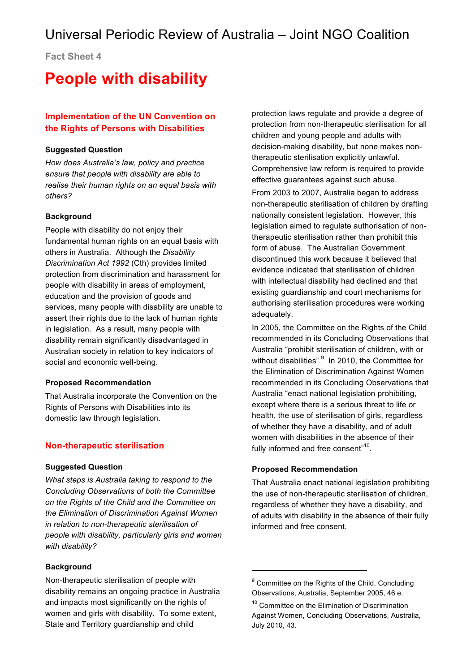**Fact Sheet 4**

## **People with disability**

## **Implementation of the UN Convention on the Rights of Persons with Disabilities**

#### **Suggested Question**

*How does Australia's law, policy and practice ensure that people with disability are able to realise their human rights on an equal basis with others?*

#### **Background**

People with disability do not enjoy their fundamental human rights on an equal basis with others in Australia. Although the *Disability Discrimination Act 1992* (Cth) provides limited protection from discrimination and harassment for people with disability in areas of employment, education and the provision of goods and services, many people with disability are unable to assert their rights due to the lack of human rights in legislation. As a result, many people with disability remain significantly disadvantaged in Australian society in relation to key indicators of social and economic well-being.

#### **Proposed Recommendation**

That Australia incorporate the Convention on the Rights of Persons with Disabilities into its domestic law through legislation.

#### **Non-therapeutic sterilisation**

#### **Suggested Question**

*What steps is Australia taking to respond to the Concluding Observations of both the Committee on the Rights of the Child and the Committee on the Elimination of Discrimination Against Women in relation to non-therapeutic sterilisation of people with disability, particularly girls and women with disability?*

#### **Background**

Non-therapeutic sterilisation of people with disability remains an ongoing practice in Australia and impacts most significantly on the rights of women and girls with disability. To some extent, State and Territory guardianship and child

protection laws regulate and provide a degree of protection from non-therapeutic sterilisation for all children and young people and adults with decision-making disability, but none makes nontherapeutic sterilisation explicitly unlawful. Comprehensive law reform is required to provide effective guarantees against such abuse. From 2003 to 2007, Australia began to address non-therapeutic sterilisation of children by drafting nationally consistent legislation. However, this legislation aimed to regulate authorisation of nontherapeutic sterilisation rather than prohibit this form of abuse. The Australian Government discontinued this work because it believed that evidence indicated that sterilisation of children with intellectual disability had declined and that existing guardianship and court mechanisms for authorising sterilisation procedures were working adequately.

In 2005, the Committee on the Rights of the Child recommended in its Concluding Observations that Australia "prohibit sterilisation of children, with or without disabilities".<sup>9</sup> In 2010, the Committee for the Elimination of Discrimination Against Women recommended in its Concluding Observations that Australia "enact national legislation prohibiting, except where there is a serious threat to life or health, the use of sterilisation of girls, regardless of whether they have a disability, and of adult women with disabilities in the absence of their fully informed and free consent"<sup>10</sup>.

#### **Proposed Recommendation**

 $\overline{a}$ 

That Australia enact national legislation prohibiting the use of non-therapeutic sterilisation of children, regardless of whether they have a disability, and of adults with disability in the absence of their fully informed and free consent.

<sup>&</sup>lt;sup>9</sup> Committee on the Rights of the Child, Concluding Observations, Australia, September 2005, 46 e.

<sup>&</sup>lt;sup>10</sup> Committee on the Elimination of Discrimination Against Women, Concluding Observations, Australia, July 2010, 43.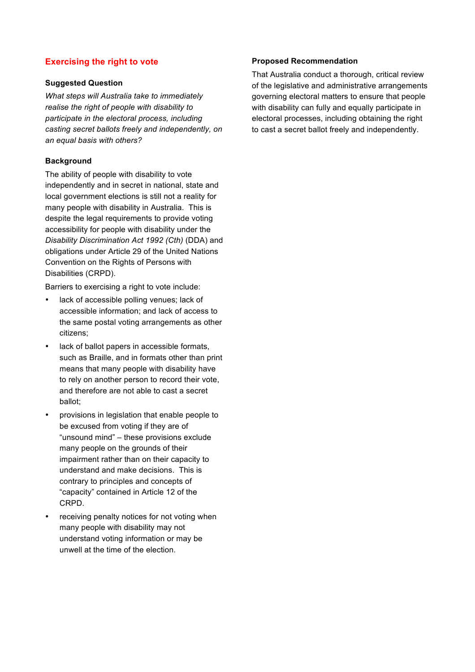## **Exercising the right to vote**

#### **Suggested Question**

*What steps will Australia take to immediately realise the right of people with disability to participate in the electoral process, including casting secret ballots freely and independently, on an equal basis with others?*

### **Background**

The ability of people with disability to vote independently and in secret in national, state and local government elections is still not a reality for many people with disability in Australia. This is despite the legal requirements to provide voting accessibility for people with disability under the *Disability Discrimination Act 1992 (Cth)* (DDA) and obligations under Article 29 of the United Nations Convention on the Rights of Persons with Disabilities (CRPD).

Barriers to exercising a right to vote include:

- lack of accessible polling venues; lack of accessible information; and lack of access to the same postal voting arrangements as other citizens;
- lack of ballot papers in accessible formats, such as Braille, and in formats other than print means that many people with disability have to rely on another person to record their vote, and therefore are not able to cast a secret ballot;
- provisions in legislation that enable people to be excused from voting if they are of "unsound mind" – these provisions exclude many people on the grounds of their impairment rather than on their capacity to understand and make decisions. This is contrary to principles and concepts of "capacity" contained in Article 12 of the CRPD.
- receiving penalty notices for not voting when many people with disability may not understand voting information or may be unwell at the time of the election.

#### **Proposed Recommendation**

That Australia conduct a thorough, critical review of the legislative and administrative arrangements governing electoral matters to ensure that people with disability can fully and equally participate in electoral processes, including obtaining the right to cast a secret ballot freely and independently.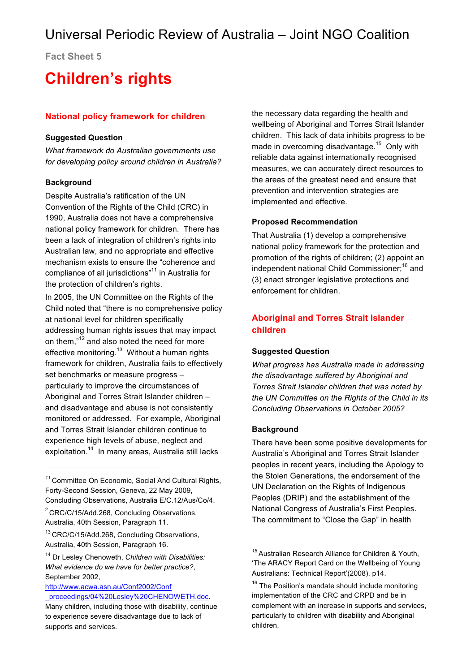**Fact Sheet 5**

## **Children's rights**

### **National policy framework for children**

#### **Suggested Question**

*What framework do Australian governments use for developing policy around children in Australia?*

#### **Background**

l

Despite Australia's ratification of the UN Convention of the Rights of the Child (CRC) in 1990, Australia does not have a comprehensive national policy framework for children. There has been a lack of integration of children's rights into Australian law, and no appropriate and effective mechanism exists to ensure the "coherence and compliance of all jurisdictions"<sup>11</sup> in Australia for the protection of children's rights.

In 2005, the UN Committee on the Rights of the Child noted that "there is no comprehensive policy at national level for children specifically addressing human rights issues that may impact on them,"12 and also noted the need for more effective monitoring.<sup>13</sup> Without a human rights framework for children, Australia fails to effectively set benchmarks or measure progress – particularly to improve the circumstances of Aboriginal and Torres Strait Islander children – and disadvantage and abuse is not consistently monitored or addressed. For example, Aboriginal and Torres Strait Islander children continue to experience high levels of abuse, neglect and exploitation.<sup>14</sup> In many areas, Australia still lacks

http://www.acwa.asn.au/Conf2002/Conf \_proceedings/04%20Lesley%20CHENOWETH.doc. the necessary data regarding the health and wellbeing of Aboriginal and Torres Strait Islander children. This lack of data inhibits progress to be made in overcoming disadvantage.<sup>15</sup> Only with reliable data against internationally recognised measures, we can accurately direct resources to the areas of the greatest need and ensure that prevention and intervention strategies are implemented and effective.

### **Proposed Recommendation**

That Australia (1) develop a comprehensive national policy framework for the protection and promotion of the rights of children; (2) appoint an independent national Child Commissioner;<sup>16</sup> and (3) enact stronger legislative protections and enforcement for children.

## **Aboriginal and Torres Strait Islander children**

#### **Suggested Question**

*What progress has Australia made in addressing the disadvantage suffered by Aboriginal and Torres Strait Islander children that was noted by the UN Committee on the Rights of the Child in its Concluding Observations in October 2005?*

#### **Background**

 $\overline{a}$ 

There have been some positive developments for Australia's Aboriginal and Torres Strait Islander peoples in recent years, including the Apology to the Stolen Generations, the endorsement of the UN Declaration on the Rights of Indigenous Peoples (DRIP) and the establishment of the National Congress of Australia's First Peoples. The commitment to "Close the Gap" in health

*<sup>11</sup>* Committee On Economic, Social And Cultural Rights, Forty-Second Session, Geneva, 22 May 2009, Concluding Observations, Australia E/C.12/Aus/Co/4.

<sup>2</sup> CRC/C/15/Add.268, Concluding Observations, Australia, 40th Session, Paragraph 11.

<sup>&</sup>lt;sup>13</sup> CRC/C/15/Add.268, Concluding Observations, Australia, 40th Session, Paragraph 16.

<sup>14</sup> Dr Lesley Chenoweth, *Children with Disabilities: What evidence do we have for better practice?*, September 2002,

Many children, including those with disability, continue to experience severe disadvantage due to lack of supports and services.

*<sup>15</sup>* Australian Research Alliance for Children & Youth, 'The ARACY Report Card on the Wellbeing of Young Australians: Technical Report'(2008), p14.

<sup>&</sup>lt;sup>16</sup> The Position's mandate should include monitoring implementation of the CRC and CRPD and be in complement with an increase in supports and services, particularly to children with disability and Aboriginal children.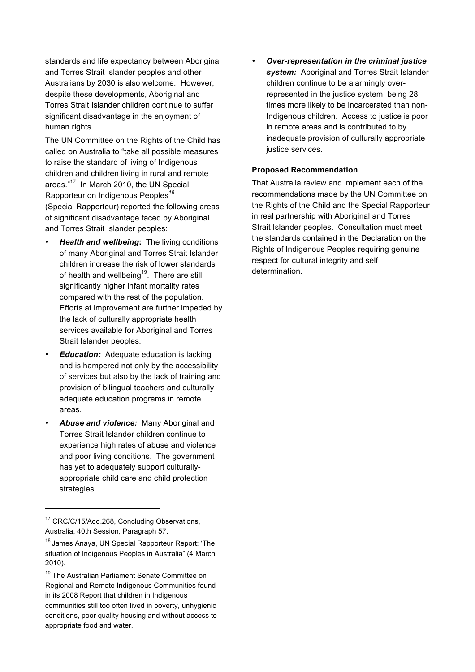standards and life expectancy between Aboriginal and Torres Strait Islander peoples and other Australians by 2030 is also welcome. However, despite these developments, Aboriginal and Torres Strait Islander children continue to suffer significant disadvantage in the enjoyment of human rights.

The UN Committee on the Rights of the Child has called on Australia to "take all possible measures to raise the standard of living of Indigenous children and children living in rural and remote areas."17 In March 2010, the UN Special Rapporteur on Indigenous Peoples*<sup>18</sup>* (Special Rapporteur) reported the following areas of significant disadvantage faced by Aboriginal and Torres Strait Islander peoples:

- *Health and wellbeing***:** The living conditions of many Aboriginal and Torres Strait Islander children increase the risk of lower standards of health and wellbeing<sup>19</sup>. There are still significantly higher infant mortality rates compared with the rest of the population. Efforts at improvement are further impeded by the lack of culturally appropriate health services available for Aboriginal and Torres Strait Islander peoples.
- *Education:* Adequate education is lacking and is hampered not only by the accessibility of services but also by the lack of training and provision of bilingual teachers and culturally adequate education programs in remote areas.
- *Abuse and violence:* Many Aboriginal and Torres Strait Islander children continue to experience high rates of abuse and violence and poor living conditions. The government has yet to adequately support culturallyappropriate child care and child protection strategies.

l

• *Over-representation in the criminal justice system:* Aboriginal and Torres Strait Islander children continue to be alarmingly overrepresented in the justice system, being 28 times more likely to be incarcerated than non-Indigenous children. Access to justice is poor in remote areas and is contributed to by inadequate provision of culturally appropriate justice services.

#### **Proposed Recommendation**

That Australia review and implement each of the recommendations made by the UN Committee on the Rights of the Child and the Special Rapporteur in real partnership with Aboriginal and Torres Strait Islander peoples. Consultation must meet the standards contained in the Declaration on the Rights of Indigenous Peoples requiring genuine respect for cultural integrity and self determination.

<sup>&</sup>lt;sup>17</sup> CRC/C/15/Add.268, Concluding Observations, Australia, 40th Session, Paragraph 57.

<sup>18</sup> James Anaya, UN Special Rapporteur Report: 'The situation of Indigenous Peoples in Australia" (4 March 2010).

<sup>&</sup>lt;sup>19</sup> The Australian Parliament Senate Committee on Regional and Remote Indigenous Communities found in its 2008 Report that children in Indigenous communities still too often lived in poverty, unhygienic conditions, poor quality housing and without access to appropriate food and water.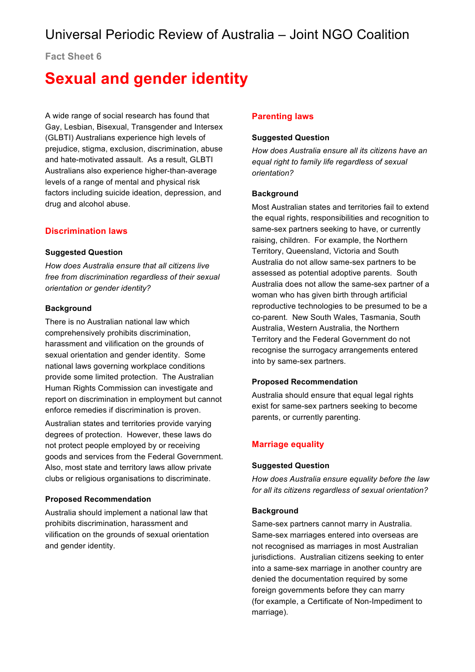**Fact Sheet 6**

## **Sexual and gender identity**

A wide range of social research has found that Gay, Lesbian, Bisexual, Transgender and Intersex (GLBTI) Australians experience high levels of prejudice, stigma, exclusion, discrimination, abuse and hate-motivated assault. As a result, GLBTI Australians also experience higher-than-average levels of a range of mental and physical risk factors including suicide ideation, depression, and drug and alcohol abuse.

#### **Discrimination laws**

#### **Suggested Question**

*How does Australia ensure that all citizens live free from discrimination regardless of their sexual orientation or gender identity?*

#### **Background**

There is no Australian national law which comprehensively prohibits discrimination, harassment and vilification on the grounds of sexual orientation and gender identity. Some national laws governing workplace conditions provide some limited protection. The Australian Human Rights Commission can investigate and report on discrimination in employment but cannot enforce remedies if discrimination is proven.

Australian states and territories provide varying degrees of protection. However, these laws do not protect people employed by or receiving goods and services from the Federal Government. Also, most state and territory laws allow private clubs or religious organisations to discriminate.

#### **Proposed Recommendation**

Australia should implement a national law that prohibits discrimination, harassment and vilification on the grounds of sexual orientation and gender identity.

#### **Parenting laws**

#### **Suggested Question**

*How does Australia ensure all its citizens have an equal right to family life regardless of sexual orientation?*

#### **Background**

Most Australian states and territories fail to extend the equal rights, responsibilities and recognition to same-sex partners seeking to have, or currently raising, children. For example, the Northern Territory, Queensland, Victoria and South Australia do not allow same-sex partners to be assessed as potential adoptive parents. South Australia does not allow the same-sex partner of a woman who has given birth through artificial reproductive technologies to be presumed to be a co-parent. New South Wales, Tasmania, South Australia, Western Australia, the Northern Territory and the Federal Government do not recognise the surrogacy arrangements entered into by same-sex partners.

#### **Proposed Recommendation**

Australia should ensure that equal legal rights exist for same-sex partners seeking to become parents, or currently parenting.

#### **Marriage equality**

#### **Suggested Question**

*How does Australia ensure equality before the law for all its citizens regardless of sexual orientation?*

#### **Background**

Same-sex partners cannot marry in Australia. Same-sex marriages entered into overseas are not recognised as marriages in most Australian jurisdictions. Australian citizens seeking to enter into a same-sex marriage in another country are denied the documentation required by some foreign governments before they can marry (for example, a Certificate of Non-Impediment to marriage).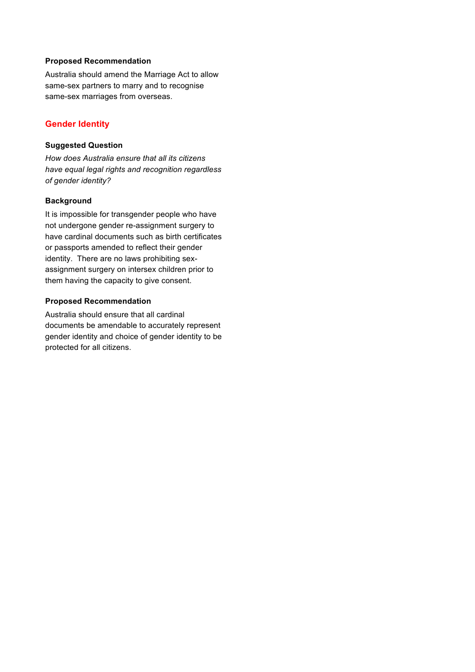#### **Proposed Recommendation**

Australia should amend the Marriage Act to allow same-sex partners to marry and to recognise same-sex marriages from overseas.

## **Gender Identity**

### **Suggested Question**

*How does Australia ensure that all its citizens have equal legal rights and recognition regardless of gender identity?*

### **Background**

It is impossible for transgender people who have not undergone gender re-assignment surgery to have cardinal documents such as birth certificates or passports amended to reflect their gender identity. There are no laws prohibiting sexassignment surgery on intersex children prior to them having the capacity to give consent.

### **Proposed Recommendation**

Australia should ensure that all cardinal documents be amendable to accurately represent gender identity and choice of gender identity to be protected for all citizens.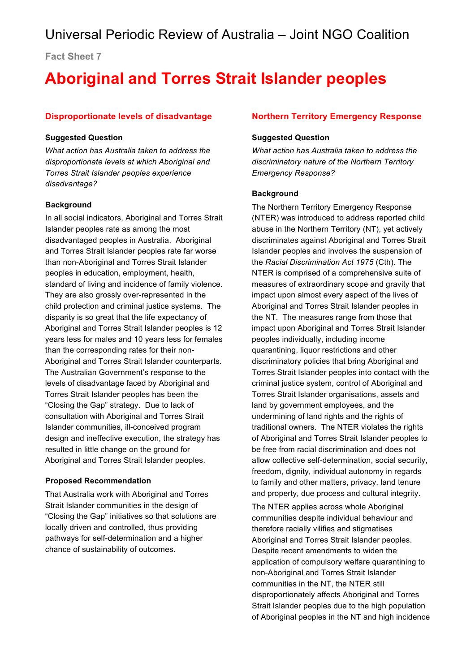**Fact Sheet 7**

## **Aboriginal and Torres Strait Islander peoples**

### **Disproportionate levels of disadvantage**

#### **Suggested Question**

*What action has Australia taken to address the disproportionate levels at which Aboriginal and Torres Strait Islander peoples experience disadvantage?*

#### **Background**

In all social indicators, Aboriginal and Torres Strait Islander peoples rate as among the most disadvantaged peoples in Australia. Aboriginal and Torres Strait Islander peoples rate far worse than non-Aboriginal and Torres Strait Islander peoples in education, employment, health, standard of living and incidence of family violence. They are also grossly over-represented in the child protection and criminal justice systems. The disparity is so great that the life expectancy of Aboriginal and Torres Strait Islander peoples is 12 years less for males and 10 years less for females than the corresponding rates for their non-Aboriginal and Torres Strait Islander counterparts. The Australian Government's response to the levels of disadvantage faced by Aboriginal and Torres Strait Islander peoples has been the "Closing the Gap" strategy. Due to lack of consultation with Aboriginal and Torres Strait Islander communities, ill-conceived program design and ineffective execution, the strategy has resulted in little change on the ground for Aboriginal and Torres Strait Islander peoples.

#### **Proposed Recommendation**

That Australia work with Aboriginal and Torres Strait Islander communities in the design of "Closing the Gap" initiatives so that solutions are locally driven and controlled, thus providing pathways for self-determination and a higher chance of sustainability of outcomes.

#### **Northern Territory Emergency Response**

#### **Suggested Question**

*What action has Australia taken to address the discriminatory nature of the Northern Territory Emergency Response?*

#### **Background**

The Northern Territory Emergency Response (NTER) was introduced to address reported child abuse in the Northern Territory (NT), yet actively discriminates against Aboriginal and Torres Strait Islander peoples and involves the suspension of the *Racial Discrimination Act 1975* (Cth). The NTER is comprised of a comprehensive suite of measures of extraordinary scope and gravity that impact upon almost every aspect of the lives of Aboriginal and Torres Strait Islander peoples in the NT. The measures range from those that impact upon Aboriginal and Torres Strait Islander peoples individually, including income quarantining, liquor restrictions and other discriminatory policies that bring Aboriginal and Torres Strait Islander peoples into contact with the criminal justice system, control of Aboriginal and Torres Strait Islander organisations, assets and land by government employees, and the undermining of land rights and the rights of traditional owners. The NTER violates the rights of Aboriginal and Torres Strait Islander peoples to be free from racial discrimination and does not allow collective self-determination, social security, freedom, dignity, individual autonomy in regards to family and other matters, privacy, land tenure and property, due process and cultural integrity.

The NTER applies across whole Aboriginal communities despite individual behaviour and therefore racially vilifies and stigmatises Aboriginal and Torres Strait Islander peoples. Despite recent amendments to widen the application of compulsory welfare quarantining to non-Aboriginal and Torres Strait Islander communities in the NT, the NTER still disproportionately affects Aboriginal and Torres Strait Islander peoples due to the high population of Aboriginal peoples in the NT and high incidence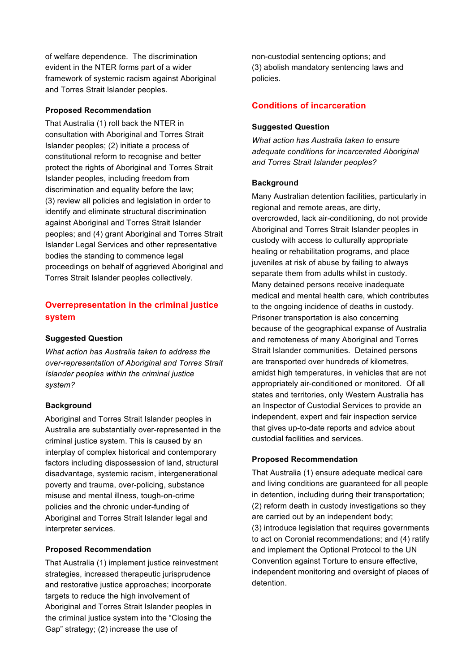of welfare dependence. The discrimination evident in the NTER forms part of a wider framework of systemic racism against Aboriginal and Torres Strait Islander peoples.

#### **Proposed Recommendation**

That Australia (1) roll back the NTER in consultation with Aboriginal and Torres Strait Islander peoples; (2) initiate a process of constitutional reform to recognise and better protect the rights of Aboriginal and Torres Strait Islander peoples, including freedom from discrimination and equality before the law; (3) review all policies and legislation in order to identify and eliminate structural discrimination against Aboriginal and Torres Strait Islander peoples; and (4) grant Aboriginal and Torres Strait Islander Legal Services and other representative bodies the standing to commence legal proceedings on behalf of aggrieved Aboriginal and Torres Strait Islander peoples collectively.

## **Overrepresentation in the criminal justice system**

#### **Suggested Question**

*What action has Australia taken to address the over-representation of Aboriginal and Torres Strait Islander peoples within the criminal justice system?*

#### **Background**

Aboriginal and Torres Strait Islander peoples in Australia are substantially over-represented in the criminal justice system. This is caused by an interplay of complex historical and contemporary factors including dispossession of land, structural disadvantage, systemic racism, intergenerational poverty and trauma, over-policing, substance misuse and mental illness, tough-on-crime policies and the chronic under-funding of Aboriginal and Torres Strait Islander legal and interpreter services.

#### **Proposed Recommendation**

That Australia (1) implement justice reinvestment strategies, increased therapeutic jurisprudence and restorative justice approaches; incorporate targets to reduce the high involvement of Aboriginal and Torres Strait Islander peoples in the criminal justice system into the "Closing the Gap" strategy; (2) increase the use of

non-custodial sentencing options; and (3) abolish mandatory sentencing laws and policies.

### **Conditions of incarceration**

#### **Suggested Question**

*What action has Australia taken to ensure adequate conditions for incarcerated Aboriginal and Torres Strait Islander peoples?*

#### **Background**

Many Australian detention facilities, particularly in regional and remote areas, are dirty, overcrowded, lack air-conditioning, do not provide Aboriginal and Torres Strait Islander peoples in custody with access to culturally appropriate healing or rehabilitation programs, and place juveniles at risk of abuse by failing to always separate them from adults whilst in custody. Many detained persons receive inadequate medical and mental health care, which contributes to the ongoing incidence of deaths in custody. Prisoner transportation is also concerning because of the geographical expanse of Australia and remoteness of many Aboriginal and Torres Strait Islander communities. Detained persons are transported over hundreds of kilometres, amidst high temperatures, in vehicles that are not appropriately air-conditioned or monitored. Of all states and territories, only Western Australia has an Inspector of Custodial Services to provide an independent, expert and fair inspection service that gives up-to-date reports and advice about custodial facilities and services.

#### **Proposed Recommendation**

That Australia (1) ensure adequate medical care and living conditions are guaranteed for all people in detention, including during their transportation; (2) reform death in custody investigations so they are carried out by an independent body; (3) introduce legislation that requires governments to act on Coronial recommendations; and (4) ratify and implement the Optional Protocol to the UN Convention against Torture to ensure effective, independent monitoring and oversight of places of detention.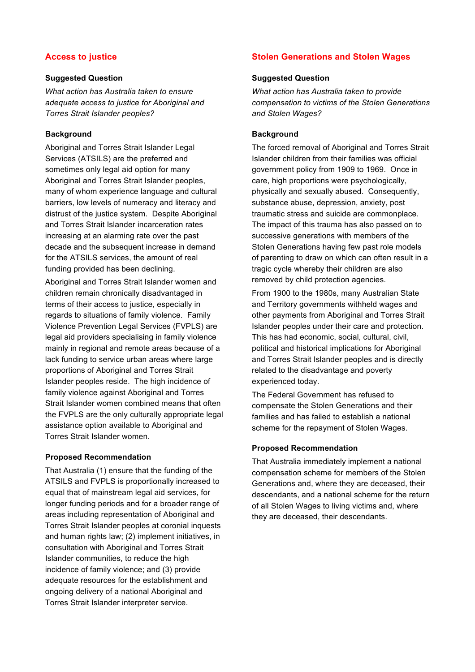#### **Access to justice**

#### **Suggested Question**

*What action has Australia taken to ensure adequate access to justice for Aboriginal and Torres Strait Islander peoples?*

#### **Background**

Aboriginal and Torres Strait Islander Legal Services (ATSILS) are the preferred and sometimes only legal aid option for many Aboriginal and Torres Strait Islander peoples, many of whom experience language and cultural barriers, low levels of numeracy and literacy and distrust of the justice system. Despite Aboriginal and Torres Strait Islander incarceration rates increasing at an alarming rate over the past decade and the subsequent increase in demand for the ATSILS services, the amount of real funding provided has been declining.

Aboriginal and Torres Strait Islander women and children remain chronically disadvantaged in terms of their access to justice, especially in regards to situations of family violence. Family Violence Prevention Legal Services (FVPLS) are legal aid providers specialising in family violence mainly in regional and remote areas because of a lack funding to service urban areas where large proportions of Aboriginal and Torres Strait Islander peoples reside. The high incidence of family violence against Aboriginal and Torres Strait Islander women combined means that often the FVPLS are the only culturally appropriate legal assistance option available to Aboriginal and Torres Strait Islander women.

#### **Proposed Recommendation**

That Australia (1) ensure that the funding of the ATSILS and FVPLS is proportionally increased to equal that of mainstream legal aid services, for longer funding periods and for a broader range of areas including representation of Aboriginal and Torres Strait Islander peoples at coronial inquests and human rights law; (2) implement initiatives, in consultation with Aboriginal and Torres Strait Islander communities, to reduce the high incidence of family violence; and (3) provide adequate resources for the establishment and ongoing delivery of a national Aboriginal and Torres Strait Islander interpreter service.

### **Stolen Generations and Stolen Wages**

#### **Suggested Question**

*What action has Australia taken to provide compensation to victims of the Stolen Generations and Stolen Wages?*

#### **Background**

The forced removal of Aboriginal and Torres Strait Islander children from their families was official government policy from 1909 to 1969. Once in care, high proportions were psychologically, physically and sexually abused. Consequently, substance abuse, depression, anxiety, post traumatic stress and suicide are commonplace. The impact of this trauma has also passed on to successive generations with members of the Stolen Generations having few past role models of parenting to draw on which can often result in a tragic cycle whereby their children are also removed by child protection agencies.

From 1900 to the 1980s, many Australian State and Territory governments withheld wages and other payments from Aboriginal and Torres Strait Islander peoples under their care and protection. This has had economic, social, cultural, civil, political and historical implications for Aboriginal and Torres Strait Islander peoples and is directly related to the disadvantage and poverty experienced today.

The Federal Government has refused to compensate the Stolen Generations and their families and has failed to establish a national scheme for the repayment of Stolen Wages.

#### **Proposed Recommendation**

That Australia immediately implement a national compensation scheme for members of the Stolen Generations and, where they are deceased, their descendants, and a national scheme for the return of all Stolen Wages to living victims and, where they are deceased, their descendants.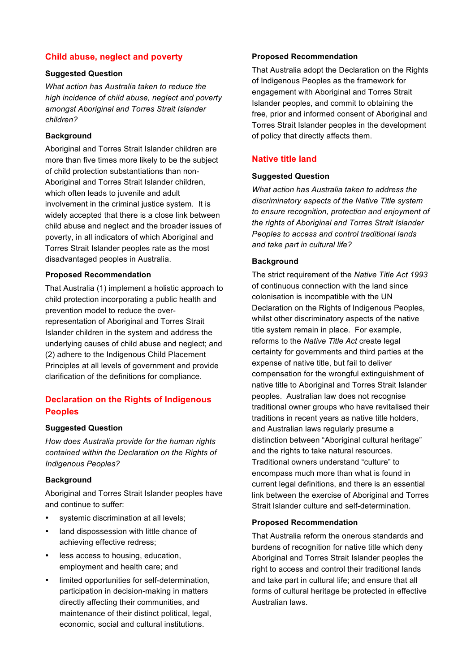### **Child abuse, neglect and poverty**

#### **Suggested Question**

*What action has Australia taken to reduce the high incidence of child abuse, neglect and poverty amongst Aboriginal and Torres Strait Islander children?*

#### **Background**

Aboriginal and Torres Strait Islander children are more than five times more likely to be the subject of child protection substantiations than non-Aboriginal and Torres Strait Islander children, which often leads to juvenile and adult involvement in the criminal justice system. It is widely accepted that there is a close link between child abuse and neglect and the broader issues of poverty, in all indicators of which Aboriginal and Torres Strait Islander peoples rate as the most disadvantaged peoples in Australia.

#### **Proposed Recommendation**

That Australia (1) implement a holistic approach to child protection incorporating a public health and prevention model to reduce the overrepresentation of Aboriginal and Torres Strait Islander children in the system and address the underlying causes of child abuse and neglect; and (2) adhere to the Indigenous Child Placement Principles at all levels of government and provide clarification of the definitions for compliance.

## **Declaration on the Rights of Indigenous Peoples**

### **Suggested Question**

*How does Australia provide for the human rights contained within the Declaration on the Rights of Indigenous Peoples?*

#### **Background**

Aboriginal and Torres Strait Islander peoples have and continue to suffer:

- systemic discrimination at all levels;
- land dispossession with little chance of achieving effective redress;
- less access to housing, education. employment and health care; and
- limited opportunities for self-determination, participation in decision-making in matters directly affecting their communities, and maintenance of their distinct political, legal, economic, social and cultural institutions.

#### **Proposed Recommendation**

That Australia adopt the Declaration on the Rights of Indigenous Peoples as the framework for engagement with Aboriginal and Torres Strait Islander peoples, and commit to obtaining the free, prior and informed consent of Aboriginal and Torres Strait Islander peoples in the development of policy that directly affects them.

## **Native title land**

#### **Suggested Question**

*What action has Australia taken to address the discriminatory aspects of the Native Title system to ensure recognition, protection and enjoyment of the rights of Aboriginal and Torres Strait Islander Peoples to access and control traditional lands and take part in cultural life?*

#### **Background**

The strict requirement of the *Native Title Act 1993* of continuous connection with the land since colonisation is incompatible with the UN Declaration on the Rights of Indigenous Peoples, whilst other discriminatory aspects of the native title system remain in place. For example, reforms to the *Native Title Act* create legal certainty for governments and third parties at the expense of native title, but fail to deliver compensation for the wrongful extinguishment of native title to Aboriginal and Torres Strait Islander peoples. Australian law does not recognise traditional owner groups who have revitalised their traditions in recent years as native title holders, and Australian laws regularly presume a distinction between "Aboriginal cultural heritage" and the rights to take natural resources. Traditional owners understand "culture" to encompass much more than what is found in current legal definitions, and there is an essential link between the exercise of Aboriginal and Torres Strait Islander culture and self-determination.

#### **Proposed Recommendation**

That Australia reform the onerous standards and burdens of recognition for native title which deny Aboriginal and Torres Strait Islander peoples the right to access and control their traditional lands and take part in cultural life; and ensure that all forms of cultural heritage be protected in effective Australian laws.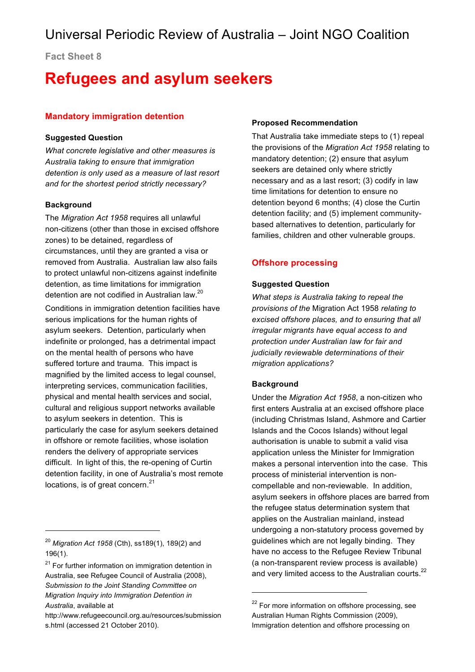**Fact Sheet 8**

## **Refugees and asylum seekers**

## **Mandatory immigration detention**

#### **Suggested Question**

*What concrete legislative and other measures is Australia taking to ensure that immigration detention is only used as a measure of last resort and for the shortest period strictly necessary?*

### **Background**

The *Migration Act 1958* requires all unlawful non-citizens (other than those in excised offshore zones) to be detained, regardless of circumstances, until they are granted a visa or removed from Australia. Australian law also fails to protect unlawful non-citizens against indefinite detention, as time limitations for immigration detention are not codified in Australian law.<sup>20</sup>

Conditions in immigration detention facilities have serious implications for the human rights of asylum seekers. Detention, particularly when indefinite or prolonged, has a detrimental impact on the mental health of persons who have suffered torture and trauma. This impact is magnified by the limited access to legal counsel, interpreting services, communication facilities, physical and mental health services and social, cultural and religious support networks available to asylum seekers in detention. This is particularly the case for asylum seekers detained in offshore or remote facilities, whose isolation renders the delivery of appropriate services difficult. In light of this, the re-opening of Curtin detention facility, in one of Australia's most remote locations, is of great concern. $21$ 

l

### **Proposed Recommendation**

That Australia take immediate steps to (1) repeal the provisions of the *Migration Act 1958* relating to mandatory detention; (2) ensure that asylum seekers are detained only where strictly necessary and as a last resort; (3) codify in law time limitations for detention to ensure no detention beyond 6 months; (4) close the Curtin detention facility; and (5) implement communitybased alternatives to detention, particularly for families, children and other vulnerable groups.

## **Offshore processing**

## **Suggested Question**

*What steps is Australia taking to repeal the provisions of the* Migration Act 1958 *relating to excised offshore places, and to ensuring that all irregular migrants have equal access to and protection under Australian law for fair and judicially reviewable determinations of their migration applications?*

## **Background**

l

Under the *Migration Act 1958*, a non-citizen who first enters Australia at an excised offshore place (including Christmas Island, Ashmore and Cartier Islands and the Cocos Islands) without legal authorisation is unable to submit a valid visa application unless the Minister for Immigration makes a personal intervention into the case. This process of ministerial intervention is noncompellable and non-reviewable. In addition, asylum seekers in offshore places are barred from the refugee status determination system that applies on the Australian mainland, instead undergoing a non-statutory process governed by guidelines which are not legally binding. They have no access to the Refugee Review Tribunal (a non-transparent review process is available) and very limited access to the Australian courts.<sup>22</sup>

<sup>20</sup> *Migration Act 1958* (Cth), ss189(1), 189(2) and 196(1).

<sup>&</sup>lt;sup>21</sup> For further information on immigration detention in Australia, see Refugee Council of Australia (2008), *Submission to the Joint Standing Committee on Migration Inquiry into Immigration Detention in Australia*, available at

http://www.refugeecouncil.org.au/resources/submission s.html (accessed 21 October 2010).

<sup>&</sup>lt;sup>22</sup> For more information on offshore processing, see Australian Human Rights Commission (2009), Immigration detention and offshore processing on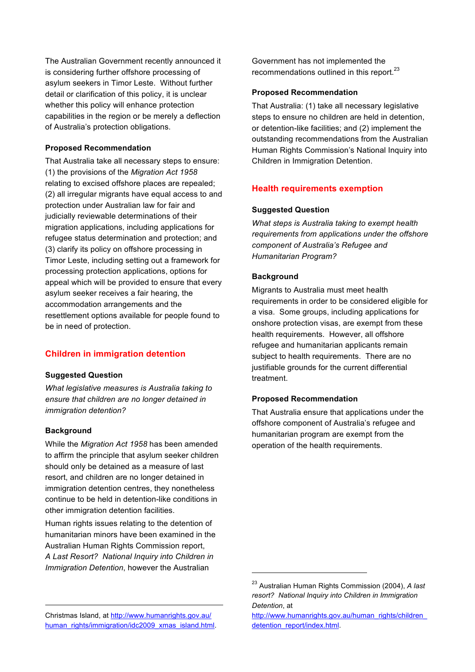The Australian Government recently announced it is considering further offshore processing of asylum seekers in Timor Leste. Without further detail or clarification of this policy, it is unclear whether this policy will enhance protection capabilities in the region or be merely a deflection of Australia's protection obligations.

#### **Proposed Recommendation**

That Australia take all necessary steps to ensure: (1) the provisions of the *Migration Act 1958* relating to excised offshore places are repealed; (2) all irregular migrants have equal access to and protection under Australian law for fair and judicially reviewable determinations of their migration applications, including applications for refugee status determination and protection; and (3) clarify its policy on offshore processing in Timor Leste, including setting out a framework for processing protection applications, options for appeal which will be provided to ensure that every asylum seeker receives a fair hearing, the accommodation arrangements and the resettlement options available for people found to be in need of protection.

#### **Children in immigration detention**

#### **Suggested Question**

*What legislative measures is Australia taking to ensure that children are no longer detained in immigration detention?*

#### **Background**

l

While the *Migration Act 1958* has been amended to affirm the principle that asylum seeker children should only be detained as a measure of last resort, and children are no longer detained in immigration detention centres, they nonetheless continue to be held in detention-like conditions in other immigration detention facilities.

Human rights issues relating to the detention of humanitarian minors have been examined in the Australian Human Rights Commission report, *A Last Resort? National Inquiry into Children in Immigration Detention*, however the Australian

Christmas Island, at http://www.humanrights.gov.au/ human\_rights/immigration/idc2009\_xmas\_island.html. Government has not implemented the recommendations outlined in this report.<sup>23</sup>

#### **Proposed Recommendation**

That Australia: (1) take all necessary legislative steps to ensure no children are held in detention, or detention-like facilities; and (2) implement the outstanding recommendations from the Australian Human Rights Commission's National Inquiry into Children in Immigration Detention.

#### **Health requirements exemption**

#### **Suggested Question**

*What steps is Australia taking to exempt health requirements from applications under the offshore component of Australia's Refugee and Humanitarian Program?*

#### **Background**

l

Migrants to Australia must meet health requirements in order to be considered eligible for a visa. Some groups, including applications for onshore protection visas, are exempt from these health requirements. However, all offshore refugee and humanitarian applicants remain subject to health requirements. There are no justifiable grounds for the current differential treatment.

#### **Proposed Recommendation**

That Australia ensure that applications under the offshore component of Australia's refugee and humanitarian program are exempt from the operation of the health requirements.

<sup>23</sup> Australian Human Rights Commission (2004), *A last resort? National Inquiry into Children in Immigration Detention*, at

http://www.humanrights.gov.au/human\_rights/children detention\_report/index.html.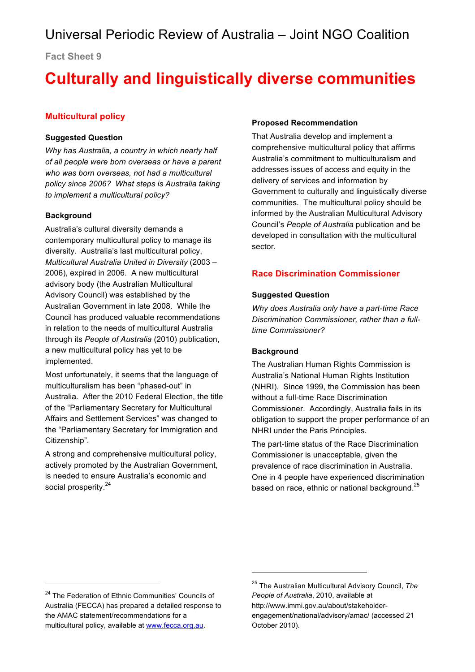**Fact Sheet 9**

## **Culturally and linguistically diverse communities**

## **Multicultural policy**

#### **Suggested Question**

*Why has Australia, a country in which nearly half of all people were born overseas or have a parent who was born overseas, not had a multicultural policy since 2006? What steps is Australia taking to implement a multicultural policy?*

### **Background**

Australia's cultural diversity demands a contemporary multicultural policy to manage its diversity. Australia's last multicultural policy, *Multicultural Australia United in Diversity* (2003 – 2006), expired in 2006. A new multicultural advisory body (the Australian Multicultural Advisory Council) was established by the Australian Government in late 2008. While the Council has produced valuable recommendations in relation to the needs of multicultural Australia through its *People of Australia* (2010) publication, a new multicultural policy has yet to be implemented.

Most unfortunately, it seems that the language of multiculturalism has been "phased-out" in Australia. After the 2010 Federal Election, the title of the "Parliamentary Secretary for Multicultural Affairs and Settlement Services" was changed to the "Parliamentary Secretary for Immigration and Citizenship".

A strong and comprehensive multicultural policy, actively promoted by the Australian Government, is needed to ensure Australia's economic and social prosperity.<sup>24</sup>

#### **Proposed Recommendation**

That Australia develop and implement a comprehensive multicultural policy that affirms Australia's commitment to multiculturalism and addresses issues of access and equity in the delivery of services and information by Government to culturally and linguistically diverse communities. The multicultural policy should be informed by the Australian Multicultural Advisory Council's *People of Australia* publication and be developed in consultation with the multicultural sector.

### **Race Discrimination Commissioner**

#### **Suggested Question**

*Why does Australia only have a part-time Race Discrimination Commissioner, rather than a fulltime Commissioner?*

#### **Background**

l

The Australian Human Rights Commission is Australia's National Human Rights Institution (NHRI). Since 1999, the Commission has been without a full-time Race Discrimination Commissioner. Accordingly, Australia fails in its obligation to support the proper performance of an NHRI under the Paris Principles.

The part-time status of the Race Discrimination Commissioner is unacceptable, given the prevalence of race discrimination in Australia. One in 4 people have experienced discrimination based on race, ethnic or national background.<sup>25</sup>

l

<sup>&</sup>lt;sup>24</sup> The Federation of Ethnic Communities' Councils of Australia (FECCA) has prepared a detailed response to the AMAC statement/recommendations for a multicultural policy, available at www.fecca.org.au.

<sup>25</sup> The Australian Multicultural Advisory Council, *The People of Australia*, 2010, available at http://www.immi.gov.au/about/stakeholderengagement/national/advisory/amac/ (accessed 21 October 2010).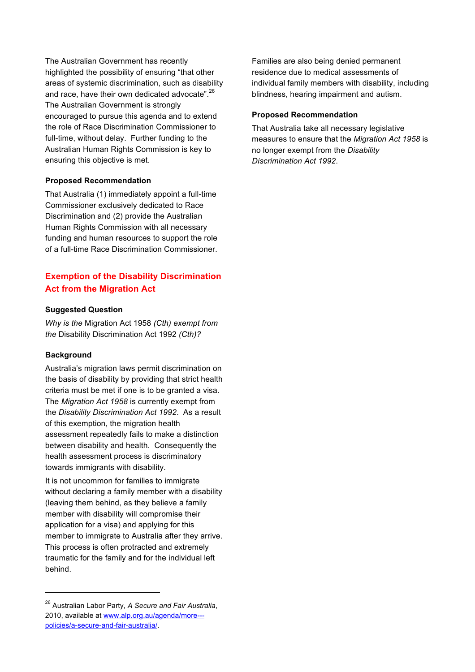The Australian Government has recently highlighted the possibility of ensuring "that other areas of systemic discrimination, such as disability and race, have their own dedicated advocate".<sup>26</sup> The Australian Government is strongly encouraged to pursue this agenda and to extend the role of Race Discrimination Commissioner to full-time, without delay. Further funding to the Australian Human Rights Commission is key to ensuring this objective is met.

#### **Proposed Recommendation**

That Australia (1) immediately appoint a full-time Commissioner exclusively dedicated to Race Discrimination and (2) provide the Australian Human Rights Commission with all necessary funding and human resources to support the role of a full-time Race Discrimination Commissioner.

## **Exemption of the Disability Discrimination Act from the Migration Act**

#### **Suggested Question**

*Why is the* Migration Act 1958 *(Cth) exempt from the* Disability Discrimination Act 1992 *(Cth)?*

#### **Background**

l

Australia's migration laws permit discrimination on the basis of disability by providing that strict health criteria must be met if one is to be granted a visa. The *Migration Act 1958* is currently exempt from the *Disability Discrimination Act 1992*. As a result of this exemption, the migration health assessment repeatedly fails to make a distinction between disability and health. Consequently the health assessment process is discriminatory towards immigrants with disability.

It is not uncommon for families to immigrate without declaring a family member with a disability (leaving them behind, as they believe a family member with disability will compromise their application for a visa) and applying for this member to immigrate to Australia after they arrive. This process is often protracted and extremely traumatic for the family and for the individual left behind.

Families are also being denied permanent residence due to medical assessments of individual family members with disability, including blindness, hearing impairment and autism.

#### **Proposed Recommendation**

That Australia take all necessary legislative measures to ensure that the *Migration Act 1958* is no longer exempt from the *Disability Discrimination Act 1992*.

<sup>26</sup> Australian Labor Party, *A Secure and Fair Australia*, 2010, available at www.alp.org.au/agenda/more-- policies/a-secure-and-fair-australia/.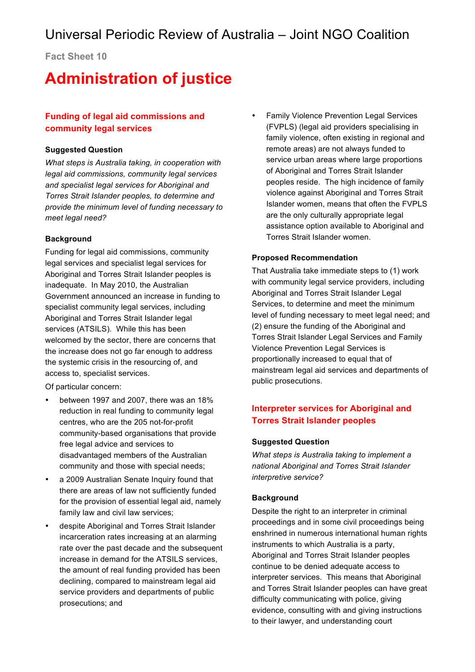**Fact Sheet 10**

## **Administration of justice**

## **Funding of legal aid commissions and community legal services**

#### **Suggested Question**

*What steps is Australia taking, in cooperation with legal aid commissions, community legal services and specialist legal services for Aboriginal and Torres Strait Islander peoples, to determine and provide the minimum level of funding necessary to meet legal need?*

#### **Background**

Funding for legal aid commissions, community legal services and specialist legal services for Aboriginal and Torres Strait Islander peoples is inadequate. In May 2010, the Australian Government announced an increase in funding to specialist community legal services, including Aboriginal and Torres Strait Islander legal services (ATSILS). While this has been welcomed by the sector, there are concerns that the increase does not go far enough to address the systemic crisis in the resourcing of, and access to, specialist services.

Of particular concern:

- between 1997 and 2007, there was an 18% reduction in real funding to community legal centres, who are the 205 not-for-profit community-based organisations that provide free legal advice and services to disadvantaged members of the Australian community and those with special needs;
- a 2009 Australian Senate Inquiry found that there are areas of law not sufficiently funded for the provision of essential legal aid, namely family law and civil law services;
- despite Aboriginal and Torres Strait Islander incarceration rates increasing at an alarming rate over the past decade and the subsequent increase in demand for the ATSILS services, the amount of real funding provided has been declining, compared to mainstream legal aid service providers and departments of public prosecutions; and

• Family Violence Prevention Legal Services (FVPLS) (legal aid providers specialising in family violence, often existing in regional and remote areas) are not always funded to service urban areas where large proportions of Aboriginal and Torres Strait Islander peoples reside. The high incidence of family violence against Aboriginal and Torres Strait Islander women, means that often the FVPLS are the only culturally appropriate legal assistance option available to Aboriginal and Torres Strait Islander women.

#### **Proposed Recommendation**

That Australia take immediate steps to (1) work with community legal service providers, including Aboriginal and Torres Strait Islander Legal Services, to determine and meet the minimum level of funding necessary to meet legal need; and (2) ensure the funding of the Aboriginal and Torres Strait Islander Legal Services and Family Violence Prevention Legal Services is proportionally increased to equal that of mainstream legal aid services and departments of public prosecutions.

## **Interpreter services for Aboriginal and Torres Strait Islander peoples**

#### **Suggested Question**

*What steps is Australia taking to implement a national Aboriginal and Torres Strait Islander interpretive service?*

#### **Background**

Despite the right to an interpreter in criminal proceedings and in some civil proceedings being enshrined in numerous international human rights instruments to which Australia is a party, Aboriginal and Torres Strait Islander peoples continue to be denied adequate access to interpreter services. This means that Aboriginal and Torres Strait Islander peoples can have great difficulty communicating with police, giving evidence, consulting with and giving instructions to their lawyer, and understanding court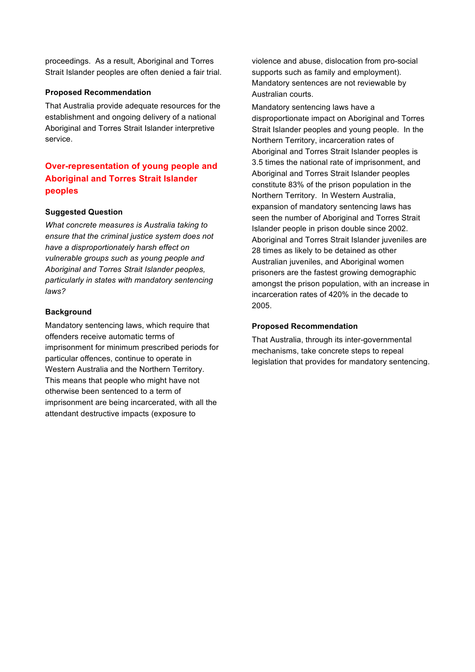proceedings. As a result, Aboriginal and Torres Strait Islander peoples are often denied a fair trial.

#### **Proposed Recommendation**

That Australia provide adequate resources for the establishment and ongoing delivery of a national Aboriginal and Torres Strait Islander interpretive service.

## **Over-representation of young people and Aboriginal and Torres Strait Islander peoples**

#### **Suggested Question**

*What concrete measures is Australia taking to ensure that the criminal justice system does not have a disproportionately harsh effect on vulnerable groups such as young people and Aboriginal and Torres Strait Islander peoples, particularly in states with mandatory sentencing laws?*

#### **Background**

Mandatory sentencing laws, which require that offenders receive automatic terms of imprisonment for minimum prescribed periods for particular offences, continue to operate in Western Australia and the Northern Territory. This means that people who might have not otherwise been sentenced to a term of imprisonment are being incarcerated, with all the attendant destructive impacts (exposure to

violence and abuse, dislocation from pro-social supports such as family and employment). Mandatory sentences are not reviewable by Australian courts.

Mandatory sentencing laws have a disproportionate impact on Aboriginal and Torres Strait Islander peoples and young people. In the Northern Territory, incarceration rates of Aboriginal and Torres Strait Islander peoples is 3.5 times the national rate of imprisonment, and Aboriginal and Torres Strait Islander peoples constitute 83% of the prison population in the Northern Territory. In Western Australia, expansion of mandatory sentencing laws has seen the number of Aboriginal and Torres Strait Islander people in prison double since 2002. Aboriginal and Torres Strait Islander juveniles are 28 times as likely to be detained as other Australian juveniles, and Aboriginal women prisoners are the fastest growing demographic amongst the prison population, with an increase in incarceration rates of 420% in the decade to 2005.

#### **Proposed Recommendation**

That Australia, through its inter-governmental mechanisms, take concrete steps to repeal legislation that provides for mandatory sentencing.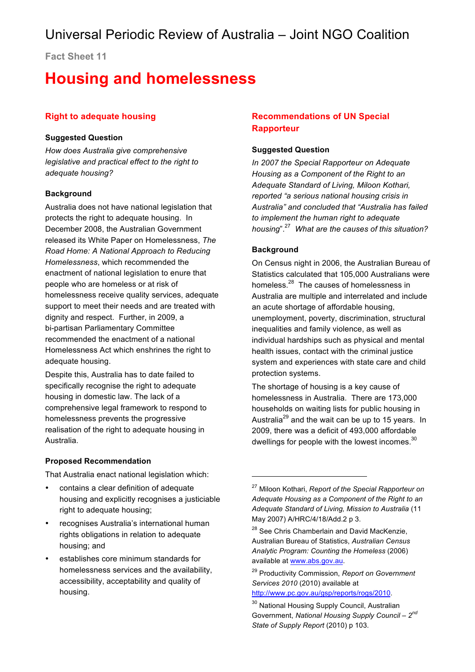**Fact Sheet 11**

## **Housing and homelessness**

### **Right to adequate housing**

#### **Suggested Question**

*How does Australia give comprehensive legislative and practical effect to the right to adequate housing?*

#### **Background**

Australia does not have national legislation that protects the right to adequate housing. In December 2008, the Australian Government released its White Paper on Homelessness, *The Road Home: A National Approach to Reducing Homelessness*, which recommended the enactment of national legislation to enure that people who are homeless or at risk of homelessness receive quality services, adequate support to meet their needs and are treated with dignity and respect. Further, in 2009, a bi-partisan Parliamentary Committee recommended the enactment of a national Homelessness Act which enshrines the right to adequate housing.

Despite this, Australia has to date failed to specifically recognise the right to adequate housing in domestic law. The lack of a comprehensive legal framework to respond to homelessness prevents the progressive realisation of the right to adequate housing in Australia.

#### **Proposed Recommendation**

That Australia enact national legislation which:

- contains a clear definition of adequate housing and explicitly recognises a justiciable right to adequate housing;
- recognises Australia's international human rights obligations in relation to adequate housing; and
- establishes core minimum standards for homelessness services and the availability, accessibility, acceptability and quality of housing.

## **Recommendations of UN Special Rapporteur**

#### **Suggested Question**

*In 2007 the Special Rapporteur on Adequate Housing as a Component of the Right to an Adequate Standard of Living, Miloon Kothari, reported "a serious national housing crisis in Australia" and concluded that "Australia has failed to implement the human right to adequate housing*".27 *What are the causes of this situation?*

#### **Background**

l

On Census night in 2006, the Australian Bureau of Statistics calculated that 105,000 Australians were homeless.28 The causes of homelessness in Australia are multiple and interrelated and include an acute shortage of affordable housing, unemployment, poverty, discrimination, structural inequalities and family violence, as well as individual hardships such as physical and mental health issues, contact with the criminal justice system and experiences with state care and child protection systems.

The shortage of housing is a key cause of homelessness in Australia. There are 173,000 households on waiting lists for public housing in Australia<sup>29</sup> and the wait can be up to 15 years. In 2009, there was a deficit of 493,000 affordable dwellings for people with the lowest incomes. $30$ 

<sup>27</sup> Miloon Kothari, *Report of the Special Rapporteur on Adequate Housing as a Component of the Right to an Adequate Standard of Living, Mission to Australia* (11 May 2007) A/HRC/4/18/Add.2 p 3.

<sup>&</sup>lt;sup>28</sup> See Chris Chamberlain and David MacKenzie, Australian Bureau of Statistics, *Australian Census Analytic Program: Counting the Homeless* (2006) available at www.abs.gov.au.

<sup>29</sup> Productivity Commission, *Report on Government Services 2010* (2010) available at http://www.pc.gov.au/gsp/reports/rogs/2010.

<sup>&</sup>lt;sup>30</sup> National Housing Supply Council, Australian Government, *National Housing Supply Council – 2nd State of Supply Report* (2010) p 103.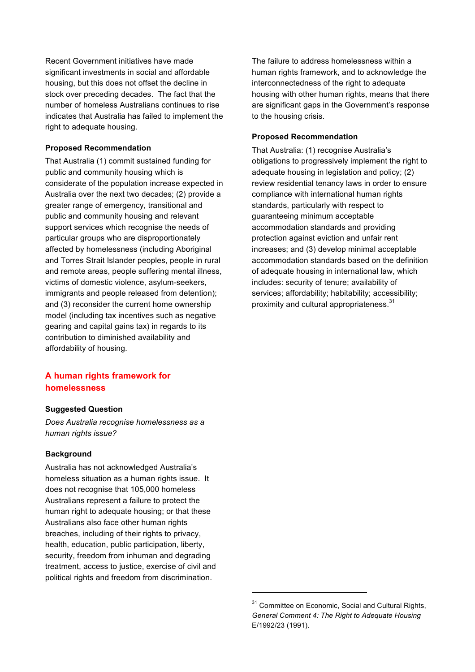Recent Government initiatives have made significant investments in social and affordable housing, but this does not offset the decline in stock over preceding decades. The fact that the number of homeless Australians continues to rise indicates that Australia has failed to implement the right to adequate housing.

#### **Proposed Recommendation**

That Australia (1) commit sustained funding for public and community housing which is considerate of the population increase expected in Australia over the next two decades; (2) provide a greater range of emergency, transitional and public and community housing and relevant support services which recognise the needs of particular groups who are disproportionately affected by homelessness (including Aboriginal and Torres Strait Islander peoples, people in rural and remote areas, people suffering mental illness, victims of domestic violence, asylum-seekers, immigrants and people released from detention); and (3) reconsider the current home ownership model (including tax incentives such as negative gearing and capital gains tax) in regards to its contribution to diminished availability and affordability of housing.

## **A human rights framework for homelessness**

#### **Suggested Question**

*Does Australia recognise homelessness as a human rights issue?*

#### **Background**

Australia has not acknowledged Australia's homeless situation as a human rights issue. It does not recognise that 105,000 homeless Australians represent a failure to protect the human right to adequate housing; or that these Australians also face other human rights breaches, including of their rights to privacy, health, education, public participation, liberty, security, freedom from inhuman and degrading treatment, access to justice, exercise of civil and political rights and freedom from discrimination.

The failure to address homelessness within a human rights framework, and to acknowledge the interconnectedness of the right to adequate housing with other human rights, means that there are significant gaps in the Government's response to the housing crisis.

#### **Proposed Recommendation**

That Australia: (1) recognise Australia's obligations to progressively implement the right to adequate housing in legislation and policy; (2) review residential tenancy laws in order to ensure compliance with international human rights standards, particularly with respect to guaranteeing minimum acceptable accommodation standards and providing protection against eviction and unfair rent increases; and (3) develop minimal acceptable accommodation standards based on the definition of adequate housing in international law, which includes: security of tenure; availability of services; affordability; habitability; accessibility; proximity and cultural appropriateness.<sup>31</sup>

l

<sup>&</sup>lt;sup>31</sup> Committee on Economic, Social and Cultural Rights, *General Comment 4: The Right to Adequate Housing* E/1992/23 (1991).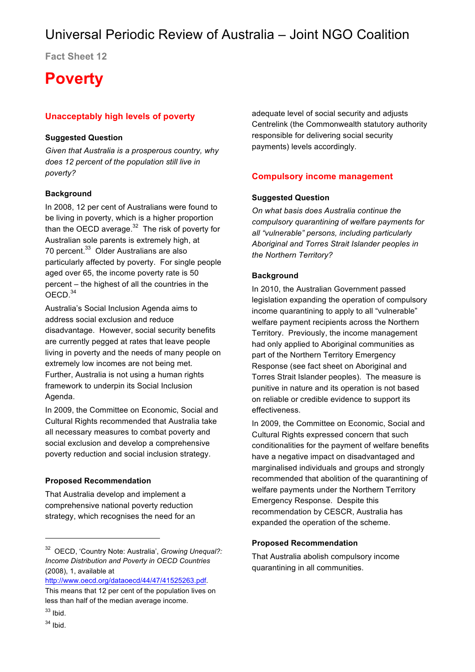**Fact Sheet 12**

## **Poverty**

## **Unacceptably high levels of poverty**

#### **Suggested Question**

*Given that Australia is a prosperous country, why does 12 percent of the population still live in poverty?*

#### **Background**

In 2008, 12 per cent of Australians were found to be living in poverty, which is a higher proportion than the OECD average. $32$  The risk of poverty for Australian sole parents is extremely high, at 70 percent.<sup>33</sup> Older Australians are also particularly affected by poverty. For single people aged over 65, the income poverty rate is 50 percent – the highest of all the countries in the OECD.<sup>34</sup>

Australia's Social Inclusion Agenda aims to address social exclusion and reduce disadvantage. However, social security benefits are currently pegged at rates that leave people living in poverty and the needs of many people on extremely low incomes are not being met. Further, Australia is not using a human rights framework to underpin its Social Inclusion Agenda.

In 2009, the Committee on Economic, Social and Cultural Rights recommended that Australia take all necessary measures to combat poverty and social exclusion and develop a comprehensive poverty reduction and social inclusion strategy.

#### **Proposed Recommendation**

That Australia develop and implement a comprehensive national poverty reduction strategy, which recognises the need for an

http://www.oecd.org/dataoecd/44/47/41525263.pdf. This means that 12 per cent of the population lives on less than half of the median average income.  $33$  Ibid.

adequate level of social security and adjusts Centrelink (the Commonwealth statutory authority responsible for delivering social security payments) levels accordingly.

#### **Compulsory income management**

#### **Suggested Question**

*On what basis does Australia continue the compulsory quarantining of welfare payments for all "vulnerable" persons, including particularly Aboriginal and Torres Strait Islander peoples in the Northern Territory?*

#### **Background**

In 2010, the Australian Government passed legislation expanding the operation of compulsory income quarantining to apply to all "vulnerable" welfare payment recipients across the Northern Territory. Previously, the income management had only applied to Aboriginal communities as part of the Northern Territory Emergency Response (see fact sheet on Aboriginal and Torres Strait Islander peoples). The measure is punitive in nature and its operation is not based on reliable or credible evidence to support its effectiveness.

In 2009, the Committee on Economic, Social and Cultural Rights expressed concern that such conditionalities for the payment of welfare benefits have a negative impact on disadvantaged and marginalised individuals and groups and strongly recommended that abolition of the quarantining of welfare payments under the Northern Territory Emergency Response. Despite this recommendation by CESCR, Australia has expanded the operation of the scheme.

#### **Proposed Recommendation**

That Australia abolish compulsory income quarantining in all communities.

l

<sup>32</sup> OECD, 'Country Note: Australia', *Growing Unequal?: Income Distribution and Poverty in OECD Countries*  (2008), 1, available at

 $34$  Ibid.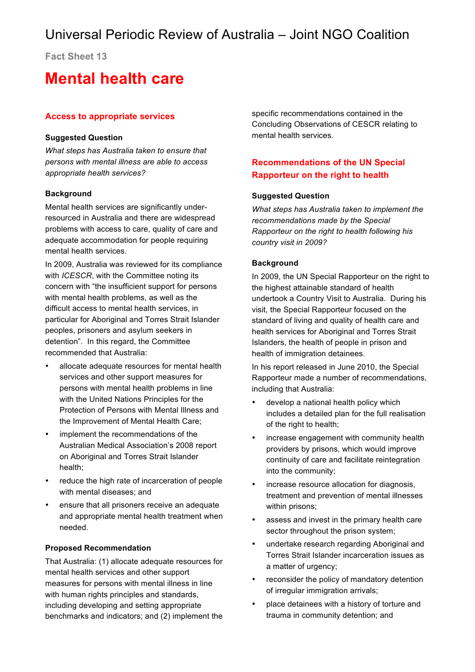**Fact Sheet 13**

## **Mental health care**

#### **Access to appropriate services**

#### **Suggested Question**

*What steps has Australia taken to ensure that persons with mental illness are able to access appropriate health services?*

#### **Background**

Mental health services are significantly underresourced in Australia and there are widespread problems with access to care, quality of care and adequate accommodation for people requiring mental health services.

In 2009, Australia was reviewed for its compliance with *ICESCR*, with the Committee noting its concern with "the insufficient support for persons with mental health problems, as well as the difficult access to mental health services, in particular for Aboriginal and Torres Strait Islander peoples, prisoners and asylum seekers in detention". In this regard, the Committee recommended that Australia:

- allocate adequate resources for mental health services and other support measures for persons with mental health problems in line with the United Nations Principles for the Protection of Persons with Mental Illness and the Improvement of Mental Health Care;
- implement the recommendations of the Australian Medical Association's 2008 report on Aboriginal and Torres Strait Islander health;
- reduce the high rate of incarceration of people with mental diseases; and
- ensure that all prisoners receive an adequate and appropriate mental health treatment when needed.

#### **Proposed Recommendation**

That Australia: (1) allocate adequate resources for mental health services and other support measures for persons with mental illness in line with human rights principles and standards, including developing and setting appropriate benchmarks and indicators; and (2) implement the specific recommendations contained in the Concluding Observations of CESCR relating to mental health services.

## **Recommendations of the UN Special Rapporteur on the right to health**

#### **Suggested Question**

*What steps has Australia taken to implement the recommendations made by the Special Rapporteur on the right to health following his country visit in 2009?*

#### **Background**

In 2009, the UN Special Rapporteur on the right to the highest attainable standard of health undertook a Country Visit to Australia. During his visit, the Special Rapporteur focused on the standard of living and quality of health care and health services for Aboriginal and Torres Strait Islanders, the health of people in prison and health of immigration detainees.

In his report released in June 2010, the Special Rapporteur made a number of recommendations, including that Australia:

- develop a national health policy which includes a detailed plan for the full realisation of the right to health;
- increase engagement with community health providers by prisons, which would improve continuity of care and facilitate reintegration into the community;
- increase resource allocation for diagnosis, treatment and prevention of mental illnesses within prisons;
- assess and invest in the primary health care sector throughout the prison system;
- undertake research regarding Aboriginal and Torres Strait Islander incarceration issues as a matter of urgency;
- reconsider the policy of mandatory detention of irregular immigration arrivals;
- place detainees with a history of torture and trauma in community detention; and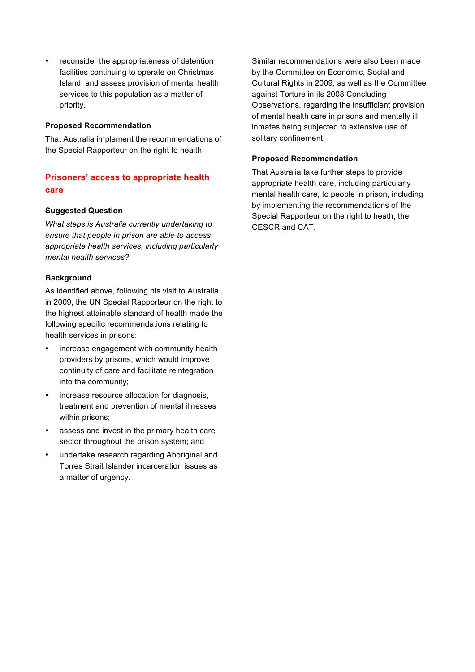• reconsider the appropriateness of detention facilities continuing to operate on Christmas Island, and assess provision of mental health services to this population as a matter of priority.

#### **Proposed Recommendation**

That Australia implement the recommendations of the Special Rapporteur on the right to health.

## **Prisoners' access to appropriate health care**

#### **Suggested Question**

*What steps is Australia currently undertaking to ensure that people in prison are able to access appropriate health services, including particularly mental health services?*

#### **Background**

As identified above, following his visit to Australia in 2009, the UN Special Rapporteur on the right to the highest attainable standard of health made the following specific recommendations relating to health services in prisons:

- increase engagement with community health providers by prisons, which would improve continuity of care and facilitate reintegration into the community;
- increase resource allocation for diagnosis, treatment and prevention of mental illnesses within prisons;
- assess and invest in the primary health care sector throughout the prison system; and
- undertake research regarding Aboriginal and Torres Strait Islander incarceration issues as a matter of urgency.

Similar recommendations were also been made by the Committee on Economic, Social and Cultural Rights in 2009, as well as the Committee against Torture in its 2008 Concluding Observations, regarding the insufficient provision of mental health care in prisons and mentally ill inmates being subjected to extensive use of solitary confinement.

#### **Proposed Recommendation**

That Australia take further steps to provide appropriate health care, including particularly mental health care, to people in prison, including by implementing the recommendations of the Special Rapporteur on the right to heath, the CESCR and CAT.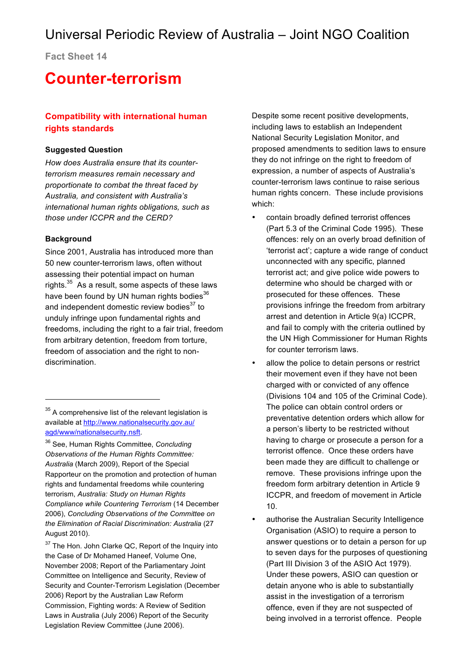**Fact Sheet 14**

## **Counter-terrorism**

## **Compatibility with international human rights standards**

#### **Suggested Question**

*How does Australia ensure that its counterterrorism measures remain necessary and proportionate to combat the threat faced by Australia, and consistent with Australia's international human rights obligations, such as those under ICCPR and the CERD?*

#### **Background**

l

Since 2001, Australia has introduced more than 50 new counter-terrorism laws, often without assessing their potential impact on human rights. $35$  As a result, some aspects of these laws have been found by UN human rights bodies $36$ and independent domestic review bodies $37$  to unduly infringe upon fundamental rights and freedoms, including the right to a fair trial, freedom from arbitrary detention, freedom from torture, freedom of association and the right to nondiscrimination.

<sup>37</sup> The Hon. John Clarke QC, Report of the Inquiry into the Case of Dr Mohamed Haneef, Volume One, November 2008; Report of the Parliamentary Joint Committee on Intelligence and Security, Review of Security and Counter-Terrorism Legislation (December 2006) Report by the Australian Law Reform Commission, Fighting words: A Review of Sedition Laws in Australia (July 2006) Report of the Security Legislation Review Committee (June 2006).

Despite some recent positive developments, including laws to establish an Independent National Security Legislation Monitor, and proposed amendments to sedition laws to ensure they do not infringe on the right to freedom of expression, a number of aspects of Australia's counter-terrorism laws continue to raise serious human rights concern. These include provisions which:

- contain broadly defined terrorist offences (Part 5.3 of the Criminal Code 1995). These offences: rely on an overly broad definition of 'terrorist act'; capture a wide range of conduct unconnected with any specific, planned terrorist act; and give police wide powers to determine who should be charged with or prosecuted for these offences. These provisions infringe the freedom from arbitrary arrest and detention in Article 9(a) ICCPR, and fail to comply with the criteria outlined by the UN High Commissioner for Human Rights for counter terrorism laws.
- allow the police to detain persons or restrict their movement even if they have not been charged with or convicted of any offence (Divisions 104 and 105 of the Criminal Code). The police can obtain control orders or preventative detention orders which allow for a person's liberty to be restricted without having to charge or prosecute a person for a terrorist offence. Once these orders have been made they are difficult to challenge or remove. These provisions infringe upon the freedom form arbitrary detention in Article 9 ICCPR, and freedom of movement in Article 10.
- authorise the Australian Security Intelligence Organisation (ASIO) to require a person to answer questions or to detain a person for up to seven days for the purposes of questioning (Part III Division 3 of the ASIO Act 1979). Under these powers, ASIO can question or detain anyone who is able to substantially assist in the investigation of a terrorism offence, even if they are not suspected of being involved in a terrorist offence. People

 $35$  A comprehensive list of the relevant legislation is available at http://www.nationalsecurity.gov.au/ agd/www/nationalsecurity.nsft.

<sup>36</sup> See, Human Rights Committee, *Concluding Observations of the Human Rights Committee: Australia* (March 2009), Report of the Special Rapporteur on the promotion and protection of human rights and fundamental freedoms while countering terrorism, *Australia: Study on Human Rights Compliance while Countering Terrorism* (14 December 2006), *Concluding Observations of the Committee on the Elimination of Racial Discrimination: Australia* (27 August 2010).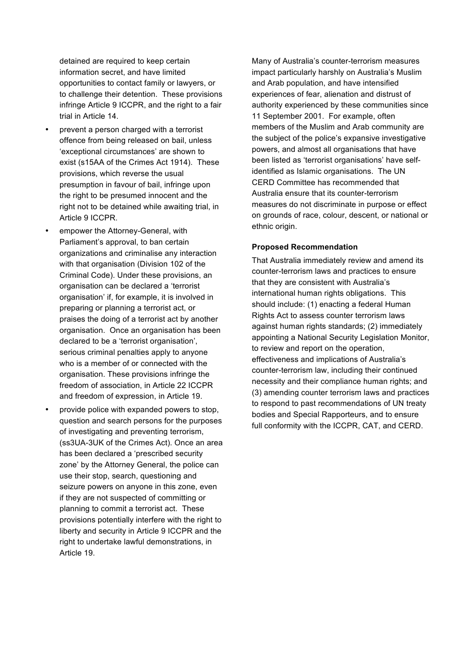detained are required to keep certain information secret, and have limited opportunities to contact family or lawyers, or to challenge their detention. These provisions infringe Article 9 ICCPR, and the right to a fair trial in Article 14.

- prevent a person charged with a terrorist offence from being released on bail, unless 'exceptional circumstances' are shown to exist (s15AA of the Crimes Act 1914). These provisions, which reverse the usual presumption in favour of bail, infringe upon the right to be presumed innocent and the right not to be detained while awaiting trial, in Article 9 ICCPR.
- empower the Attorney-General, with Parliament's approval, to ban certain organizations and criminalise any interaction with that organisation (Division 102 of the Criminal Code). Under these provisions, an organisation can be declared a 'terrorist organisation' if, for example, it is involved in preparing or planning a terrorist act, or praises the doing of a terrorist act by another organisation. Once an organisation has been declared to be a 'terrorist organisation', serious criminal penalties apply to anyone who is a member of or connected with the organisation. These provisions infringe the freedom of association, in Article 22 ICCPR and freedom of expression, in Article 19.
- provide police with expanded powers to stop, question and search persons for the purposes of investigating and preventing terrorism, (ss3UA-3UK of the Crimes Act). Once an area has been declared a 'prescribed security zone' by the Attorney General, the police can use their stop, search, questioning and seizure powers on anyone in this zone, even if they are not suspected of committing or planning to commit a terrorist act. These provisions potentially interfere with the right to liberty and security in Article 9 ICCPR and the right to undertake lawful demonstrations, in Article 19.

Many of Australia's counter-terrorism measures impact particularly harshly on Australia's Muslim and Arab population, and have intensified experiences of fear, alienation and distrust of authority experienced by these communities since 11 September 2001. For example, often members of the Muslim and Arab community are the subject of the police's expansive investigative powers, and almost all organisations that have been listed as 'terrorist organisations' have selfidentified as Islamic organisations. The UN CERD Committee has recommended that Australia ensure that its counter-terrorism measures do not discriminate in purpose or effect on grounds of race, colour, descent, or national or ethnic origin.

#### **Proposed Recommendation**

That Australia immediately review and amend its counter-terrorism laws and practices to ensure that they are consistent with Australia's international human rights obligations. This should include: (1) enacting a federal Human Rights Act to assess counter terrorism laws against human rights standards; (2) immediately appointing a National Security Legislation Monitor, to review and report on the operation, effectiveness and implications of Australia's counter-terrorism law, including their continued necessity and their compliance human rights; and (3) amending counter terrorism laws and practices to respond to past recommendations of UN treaty bodies and Special Rapporteurs, and to ensure full conformity with the ICCPR, CAT, and CERD.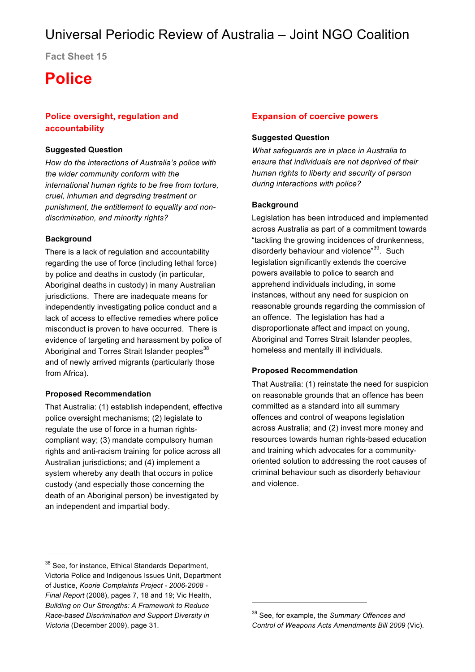**Fact Sheet 15**

## **Police**

## **Police oversight, regulation and accountability**

#### **Suggested Question**

*How do the interactions of Australia's police with the wider community conform with the international human rights to be free from torture, cruel, inhuman and degrading treatment or punishment, the entitlement to equality and nondiscrimination, and minority rights?*

#### **Background**

There is a lack of regulation and accountability regarding the use of force (including lethal force) by police and deaths in custody (in particular, Aboriginal deaths in custody) in many Australian jurisdictions. There are inadequate means for independently investigating police conduct and a lack of access to effective remedies where police misconduct is proven to have occurred. There is evidence of targeting and harassment by police of Aboriginal and Torres Strait Islander peoples<sup>38</sup> and of newly arrived migrants (particularly those from Africa).

#### **Proposed Recommendation**

l

That Australia: (1) establish independent, effective police oversight mechanisms; (2) legislate to regulate the use of force in a human rightscompliant way; (3) mandate compulsory human rights and anti-racism training for police across all Australian jurisdictions; and (4) implement a system whereby any death that occurs in police custody (and especially those concerning the death of an Aboriginal person) be investigated by an independent and impartial body.

#### **Expansion of coercive powers**

#### **Suggested Question**

*What safeguards are in place in Australia to ensure that individuals are not deprived of their human rights to liberty and security of person during interactions with police?*

#### **Background**

Legislation has been introduced and implemented across Australia as part of a commitment towards "tackling the growing incidences of drunkenness, disorderly behaviour and violence"<sup>39</sup>. Such legislation significantly extends the coercive powers available to police to search and apprehend individuals including, in some instances, without any need for suspicion on reasonable grounds regarding the commission of an offence. The legislation has had a disproportionate affect and impact on young, Aboriginal and Torres Strait Islander peoples, homeless and mentally ill individuals.

#### **Proposed Recommendation**

That Australia: (1) reinstate the need for suspicion on reasonable grounds that an offence has been committed as a standard into all summary offences and control of weapons legislation across Australia; and (2) invest more money and resources towards human rights-based education and training which advocates for a communityoriented solution to addressing the root causes of criminal behaviour such as disorderly behaviour and violence.

 $\overline{a}$ 

<sup>&</sup>lt;sup>38</sup> See, for instance, Ethical Standards Department, Victoria Police and Indigenous Issues Unit, Department of Justice, *Koorie Complaints Project - 2006-2008 - Final Report* (2008), pages 7, 18 and 19; Vic Health, *Building on Our Strengths: A Framework to Reduce Race-based Discrimination and Support Diversity in Victoria* (December 2009), page 31.

<sup>39</sup> See, for example, the *Summary Offences and Control of Weapons Acts Amendments Bill 2009* (Vic).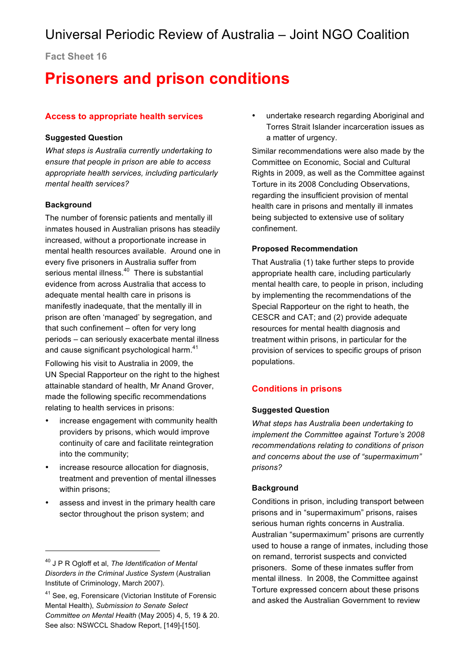**Fact Sheet 16**

## **Prisoners and prison conditions**

## **Access to appropriate health services**

### **Suggested Question**

*What steps is Australia currently undertaking to ensure that people in prison are able to access appropriate health services, including particularly mental health services?*

## **Background**

The number of forensic patients and mentally ill inmates housed in Australian prisons has steadily increased, without a proportionate increase in mental health resources available. Around one in every five prisoners in Australia suffer from serious mental illness.<sup>40</sup> There is substantial evidence from across Australia that access to adequate mental health care in prisons is manifestly inadequate, that the mentally ill in prison are often 'managed' by segregation, and that such confinement – often for very long periods – can seriously exacerbate mental illness and cause significant psychological harm.<sup>41</sup>

Following his visit to Australia in 2009, the UN Special Rapporteur on the right to the highest attainable standard of health, Mr Anand Grover, made the following specific recommendations relating to health services in prisons:

- increase engagement with community health providers by prisons, which would improve continuity of care and facilitate reintegration into the community;
- increase resource allocation for diagnosis, treatment and prevention of mental illnesses within prisons;
- assess and invest in the primary health care sector throughout the prison system; and

l

• undertake research regarding Aboriginal and Torres Strait Islander incarceration issues as a matter of urgency.

Similar recommendations were also made by the Committee on Economic, Social and Cultural Rights in 2009, as well as the Committee against Torture in its 2008 Concluding Observations, regarding the insufficient provision of mental health care in prisons and mentally ill inmates being subjected to extensive use of solitary confinement.

## **Proposed Recommendation**

That Australia (1) take further steps to provide appropriate health care, including particularly mental health care, to people in prison, including by implementing the recommendations of the Special Rapporteur on the right to heath, the CESCR and CAT; and (2) provide adequate resources for mental health diagnosis and treatment within prisons, in particular for the provision of services to specific groups of prison populations.

## **Conditions in prisons**

## **Suggested Question**

*What steps has Australia been undertaking to implement the Committee against Torture's 2008 recommendations relating to conditions of prison and concerns about the use of "supermaximum" prisons?*

## **Background**

Conditions in prison, including transport between prisons and in "supermaximum" prisons, raises serious human rights concerns in Australia. Australian "supermaximum" prisons are currently used to house a range of inmates, including those on remand, terrorist suspects and convicted prisoners. Some of these inmates suffer from mental illness. In 2008, the Committee against Torture expressed concern about these prisons and asked the Australian Government to review

<sup>40</sup> J P R Ogloff et al, *The Identification of Mental Disorders in the Criminal Justice System* (Australian Institute of Criminology, March 2007).

<sup>&</sup>lt;sup>41</sup> See, eg, Forensicare (Victorian Institute of Forensic Mental Health), *Submission to Senate Select Committee on Mental Health* (May 2005) 4, 5, 19 & 20. See also: NSWCCL Shadow Report, [149]-[150].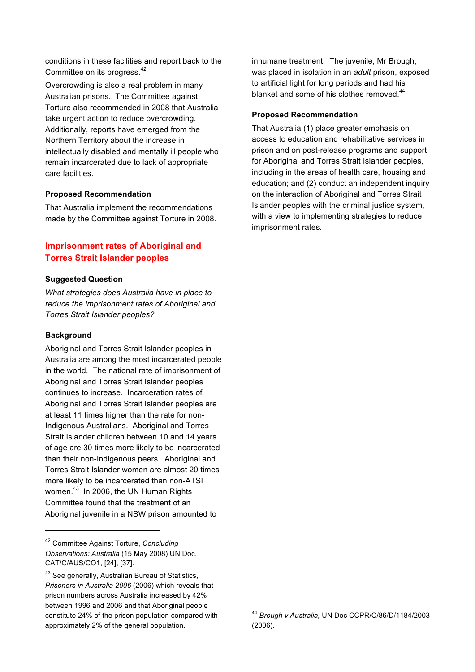conditions in these facilities and report back to the Committee on its progress.<sup>42</sup>

Overcrowding is also a real problem in many Australian prisons. The Committee against Torture also recommended in 2008 that Australia take urgent action to reduce overcrowding. Additionally, reports have emerged from the Northern Territory about the increase in intellectually disabled and mentally ill people who remain incarcerated due to lack of appropriate care facilities.

#### **Proposed Recommendation**

That Australia implement the recommendations made by the Committee against Torture in 2008.

## **Imprisonment rates of Aboriginal and Torres Strait Islander peoples**

#### **Suggested Question**

*What strategies does Australia have in place to reduce the imprisonment rates of Aboriginal and Torres Strait Islander peoples?*

#### **Background**

l

Aboriginal and Torres Strait Islander peoples in Australia are among the most incarcerated people in the world. The national rate of imprisonment of Aboriginal and Torres Strait Islander peoples continues to increase. Incarceration rates of Aboriginal and Torres Strait Islander peoples are at least 11 times higher than the rate for non-Indigenous Australians. Aboriginal and Torres Strait Islander children between 10 and 14 years of age are 30 times more likely to be incarcerated than their non-Indigenous peers. Aboriginal and Torres Strait Islander women are almost 20 times more likely to be incarcerated than non-ATSI women.<sup>43</sup> In 2006, the UN Human Rights Committee found that the treatment of an Aboriginal juvenile in a NSW prison amounted to

inhumane treatment. The juvenile, Mr Brough, was placed in isolation in an *adult* prison, exposed to artificial light for long periods and had his blanket and some of his clothes removed.<sup>44</sup>

#### **Proposed Recommendation**

That Australia (1) place greater emphasis on access to education and rehabilitative services in prison and on post-release programs and support for Aboriginal and Torres Strait Islander peoples, including in the areas of health care, housing and education; and (2) conduct an independent inquiry on the interaction of Aboriginal and Torres Strait Islander peoples with the criminal justice system, with a view to implementing strategies to reduce imprisonment rates.

 $\overline{a}$ 

<sup>42</sup> Committee Against Torture, *Concluding Observations: Australia* (15 May 2008) UN Doc. CAT/C/AUS/CO1, [24], [37].

<sup>43</sup> See generally, Australian Bureau of Statistics, *Prisoners in Australia 2006* (2006) which reveals that prison numbers across Australia increased by 42% between 1996 and 2006 and that Aboriginal people constitute 24% of the prison population compared with approximately 2% of the general population.

<sup>44</sup> *Brough v Australia,* UN Doc CCPR/C/86/D/1184/2003 (2006).